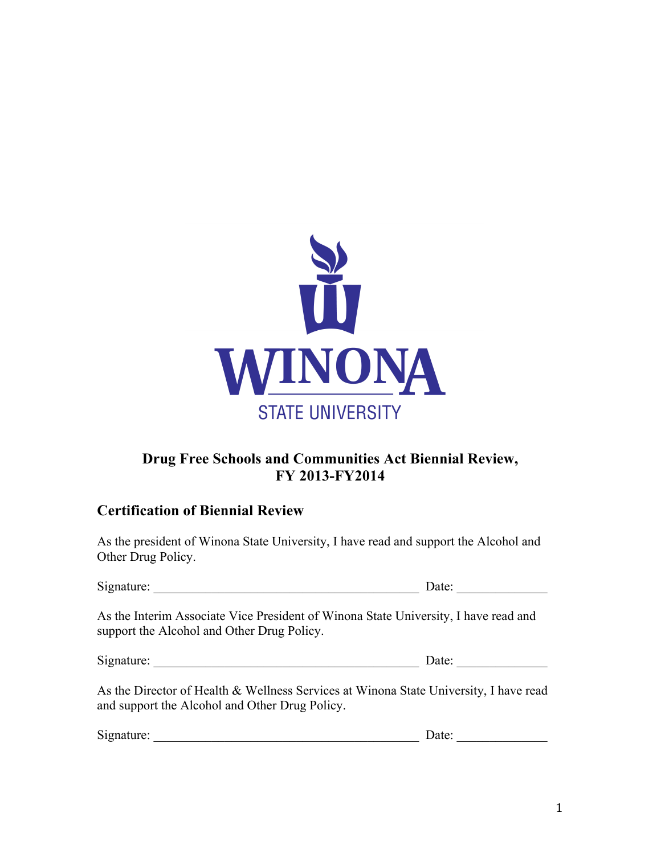

# **Drug Free Schools and Communities Act Biennial Review, FY 2013-FY2014**

# **Certification of Biennial Review**

As the president of Winona State University, I have read and support the Alcohol and Other Drug Policy.

| Signature: | . Jater |
|------------|---------|
|------------|---------|

As the Interim Associate Vice President of Winona State University, I have read and support the Alcohol and Other Drug Policy.

| Signature: | Date: |
|------------|-------|
|            |       |

As the Director of Health & Wellness Services at Winona State University, I have read and support the Alcohol and Other Drug Policy.

| $\sim \cdot$<br>Signature <sup>-</sup> | . |  |
|----------------------------------------|---|--|
|                                        |   |  |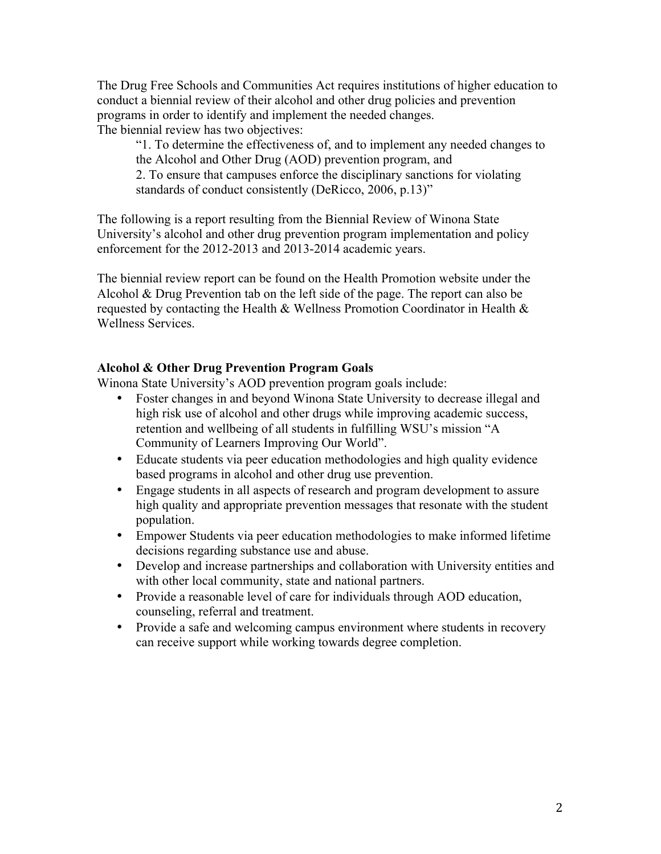The Drug Free Schools and Communities Act requires institutions of higher education to conduct a biennial review of their alcohol and other drug policies and prevention programs in order to identify and implement the needed changes. The biennial review has two objectives:

"1. To determine the effectiveness of, and to implement any needed changes to the Alcohol and Other Drug (AOD) prevention program, and 2. To ensure that campuses enforce the disciplinary sanctions for violating standards of conduct consistently (DeRicco, 2006, p.13)"

The following is a report resulting from the Biennial Review of Winona State University's alcohol and other drug prevention program implementation and policy enforcement for the 2012-2013 and 2013-2014 academic years.

The biennial review report can be found on the Health Promotion website under the Alcohol & Drug Prevention tab on the left side of the page. The report can also be requested by contacting the Health & Wellness Promotion Coordinator in Health & Wellness Services.

# **Alcohol & Other Drug Prevention Program Goals**

Winona State University's AOD prevention program goals include:

- Foster changes in and beyond Winona State University to decrease illegal and high risk use of alcohol and other drugs while improving academic success, retention and wellbeing of all students in fulfilling WSU's mission "A Community of Learners Improving Our World".
- Educate students via peer education methodologies and high quality evidence based programs in alcohol and other drug use prevention.
- Engage students in all aspects of research and program development to assure high quality and appropriate prevention messages that resonate with the student population.
- Empower Students via peer education methodologies to make informed lifetime decisions regarding substance use and abuse.
- Develop and increase partnerships and collaboration with University entities and with other local community, state and national partners.
- Provide a reasonable level of care for individuals through AOD education, counseling, referral and treatment.
- Provide a safe and welcoming campus environment where students in recovery can receive support while working towards degree completion.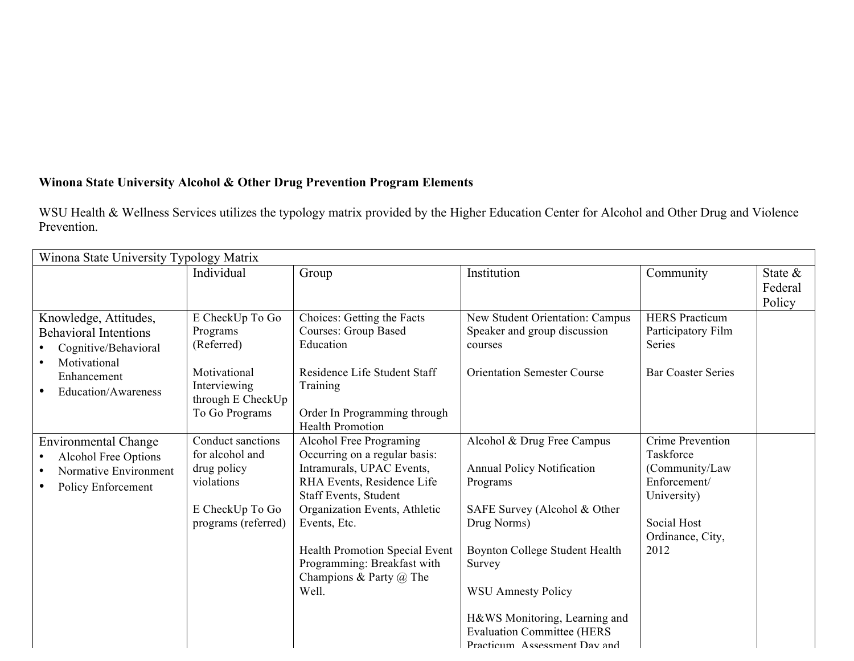# **Winona State University Alcohol & Other Drug Prevention Program Elements**

WSU Health & Wellness Services utilizes the typology matrix provided by the Higher Education Center for Alcohol and Other Drug and Violence Prevention.

| Winona State University Typology Matrix                                                                                             |                                                                                                                  |                                                                                                                                                                                                                                                                                                           |                                                                                                                                                                                                                                                                                                           |                                                                                                                           |                              |
|-------------------------------------------------------------------------------------------------------------------------------------|------------------------------------------------------------------------------------------------------------------|-----------------------------------------------------------------------------------------------------------------------------------------------------------------------------------------------------------------------------------------------------------------------------------------------------------|-----------------------------------------------------------------------------------------------------------------------------------------------------------------------------------------------------------------------------------------------------------------------------------------------------------|---------------------------------------------------------------------------------------------------------------------------|------------------------------|
|                                                                                                                                     | Individual                                                                                                       | Group                                                                                                                                                                                                                                                                                                     | Institution                                                                                                                                                                                                                                                                                               | Community                                                                                                                 | State &<br>Federal<br>Policy |
| Knowledge, Attitudes,<br><b>Behavioral Intentions</b><br>Cognitive/Behavioral<br>Motivational<br>Enhancement<br>Education/Awareness | E CheckUp To Go<br>Programs<br>(Referred)<br>Motivational<br>Interviewing<br>through E CheckUp<br>To Go Programs | Choices: Getting the Facts<br><b>Courses: Group Based</b><br>Education<br>Residence Life Student Staff<br>Training<br>Order In Programming through<br><b>Health Promotion</b>                                                                                                                             | New Student Orientation: Campus<br>Speaker and group discussion<br>courses<br><b>Orientation Semester Course</b>                                                                                                                                                                                          | <b>HERS</b> Practicum<br>Participatory Film<br>Series<br><b>Bar Coaster Series</b>                                        |                              |
| <b>Environmental Change</b><br><b>Alcohol Free Options</b><br>Normative Environment<br>Policy Enforcement                           | Conduct sanctions<br>for alcohol and<br>drug policy<br>violations<br>E CheckUp To Go<br>programs (referred)      | Alcohol Free Programing<br>Occurring on a regular basis:<br>Intramurals, UPAC Events,<br>RHA Events, Residence Life<br>Staff Events, Student<br>Organization Events, Athletic<br>Events, Etc.<br>Health Promotion Special Event<br>Programming: Breakfast with<br>Champions & Party $\omega$ The<br>Well. | Alcohol & Drug Free Campus<br><b>Annual Policy Notification</b><br>Programs<br>SAFE Survey (Alcohol & Other<br>Drug Norms)<br>Boynton College Student Health<br>Survey<br><b>WSU Amnesty Policy</b><br>H&WS Monitoring, Learning and<br><b>Evaluation Committee (HERS</b><br>Practicum Assessment Day and | Crime Prevention<br>Taskforce<br>(Community/Law<br>Enforcement/<br>University)<br>Social Host<br>Ordinance, City,<br>2012 |                              |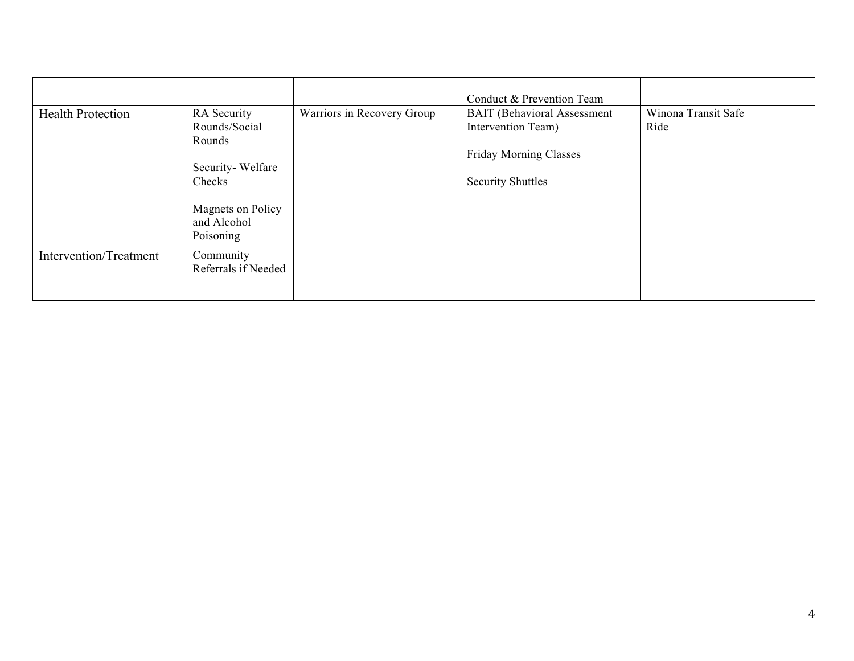|                          |                                                                                           |                            | Conduct & Prevention Team                                                                                             |                             |  |
|--------------------------|-------------------------------------------------------------------------------------------|----------------------------|-----------------------------------------------------------------------------------------------------------------------|-----------------------------|--|
| <b>Health Protection</b> | RA Security<br>Rounds/Social<br>Rounds<br>Security-Welfare<br>Checks<br>Magnets on Policy | Warriors in Recovery Group | <b>BAIT</b> (Behavioral Assessment<br>Intervention Team)<br><b>Friday Morning Classes</b><br><b>Security Shuttles</b> | Winona Transit Safe<br>Ride |  |
|                          | and Alcohol<br>Poisoning                                                                  |                            |                                                                                                                       |                             |  |
| Intervention/Treatment   | Community<br>Referrals if Needed                                                          |                            |                                                                                                                       |                             |  |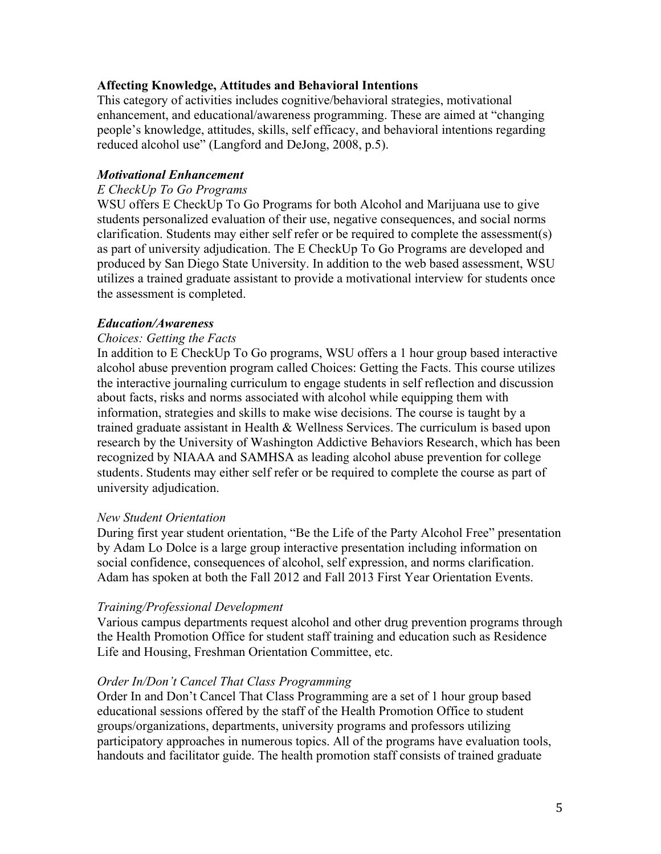## **Affecting Knowledge, Attitudes and Behavioral Intentions**

This category of activities includes cognitive/behavioral strategies, motivational enhancement, and educational/awareness programming. These are aimed at "changing people's knowledge, attitudes, skills, self efficacy, and behavioral intentions regarding reduced alcohol use" (Langford and DeJong, 2008, p.5).

### *Motivational Enhancement*

#### *E CheckUp To Go Programs*

WSU offers E CheckUp To Go Programs for both Alcohol and Marijuana use to give students personalized evaluation of their use, negative consequences, and social norms clarification. Students may either self refer or be required to complete the assessment(s) as part of university adjudication. The E CheckUp To Go Programs are developed and produced by San Diego State University. In addition to the web based assessment, WSU utilizes a trained graduate assistant to provide a motivational interview for students once the assessment is completed.

#### *Education/Awareness*

#### *Choices: Getting the Facts*

In addition to E CheckUp To Go programs, WSU offers a 1 hour group based interactive alcohol abuse prevention program called Choices: Getting the Facts. This course utilizes the interactive journaling curriculum to engage students in self reflection and discussion about facts, risks and norms associated with alcohol while equipping them with information, strategies and skills to make wise decisions. The course is taught by a trained graduate assistant in Health & Wellness Services. The curriculum is based upon research by the University of Washington Addictive Behaviors Research, which has been recognized by NIAAA and SAMHSA as leading alcohol abuse prevention for college students. Students may either self refer or be required to complete the course as part of university adjudication.

#### *New Student Orientation*

During first year student orientation, "Be the Life of the Party Alcohol Free" presentation by Adam Lo Dolce is a large group interactive presentation including information on social confidence, consequences of alcohol, self expression, and norms clarification. Adam has spoken at both the Fall 2012 and Fall 2013 First Year Orientation Events.

#### *Training/Professional Development*

Various campus departments request alcohol and other drug prevention programs through the Health Promotion Office for student staff training and education such as Residence Life and Housing, Freshman Orientation Committee, etc.

#### *Order In/Don't Cancel That Class Programming*

Order In and Don't Cancel That Class Programming are a set of 1 hour group based educational sessions offered by the staff of the Health Promotion Office to student groups/organizations, departments, university programs and professors utilizing participatory approaches in numerous topics. All of the programs have evaluation tools, handouts and facilitator guide. The health promotion staff consists of trained graduate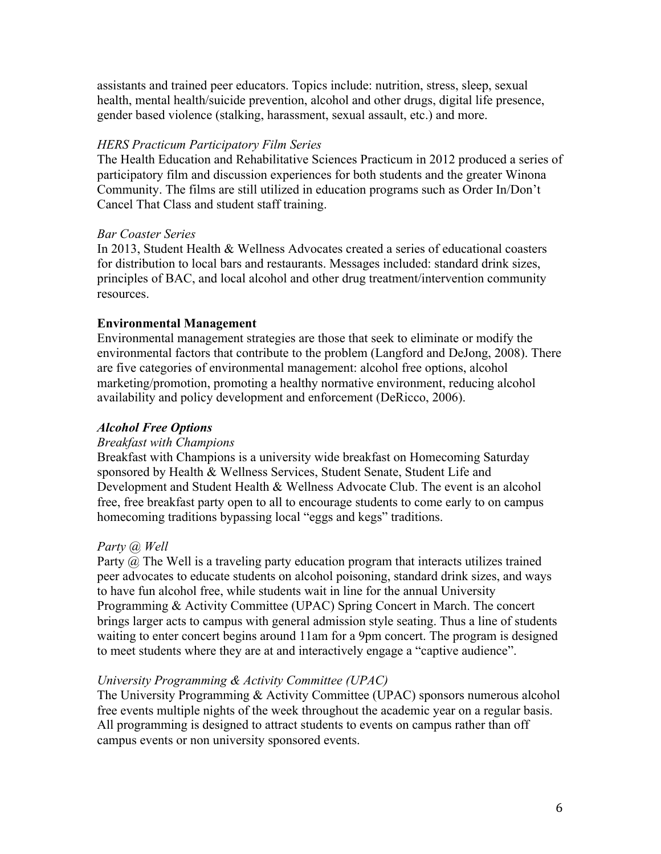assistants and trained peer educators. Topics include: nutrition, stress, sleep, sexual health, mental health/suicide prevention, alcohol and other drugs, digital life presence, gender based violence (stalking, harassment, sexual assault, etc.) and more.

#### *HERS Practicum Participatory Film Series*

The Health Education and Rehabilitative Sciences Practicum in 2012 produced a series of participatory film and discussion experiences for both students and the greater Winona Community. The films are still utilized in education programs such as Order In/Don't Cancel That Class and student staff training.

#### *Bar Coaster Series*

In 2013, Student Health & Wellness Advocates created a series of educational coasters for distribution to local bars and restaurants. Messages included: standard drink sizes, principles of BAC, and local alcohol and other drug treatment/intervention community resources.

#### **Environmental Management**

Environmental management strategies are those that seek to eliminate or modify the environmental factors that contribute to the problem (Langford and DeJong, 2008). There are five categories of environmental management: alcohol free options, alcohol marketing/promotion, promoting a healthy normative environment, reducing alcohol availability and policy development and enforcement (DeRicco, 2006).

#### *Alcohol Free Options*

#### *Breakfast with Champions*

Breakfast with Champions is a university wide breakfast on Homecoming Saturday sponsored by Health & Wellness Services, Student Senate, Student Life and Development and Student Health & Wellness Advocate Club. The event is an alcohol free, free breakfast party open to all to encourage students to come early to on campus homecoming traditions bypassing local "eggs and kegs" traditions.

#### *Party @ Well*

Party @ The Well is a traveling party education program that interacts utilizes trained peer advocates to educate students on alcohol poisoning, standard drink sizes, and ways to have fun alcohol free, while students wait in line for the annual University Programming & Activity Committee (UPAC) Spring Concert in March. The concert brings larger acts to campus with general admission style seating. Thus a line of students waiting to enter concert begins around 11am for a 9pm concert. The program is designed to meet students where they are at and interactively engage a "captive audience".

#### *University Programming & Activity Committee (UPAC)*

The University Programming & Activity Committee (UPAC) sponsors numerous alcohol free events multiple nights of the week throughout the academic year on a regular basis. All programming is designed to attract students to events on campus rather than off campus events or non university sponsored events.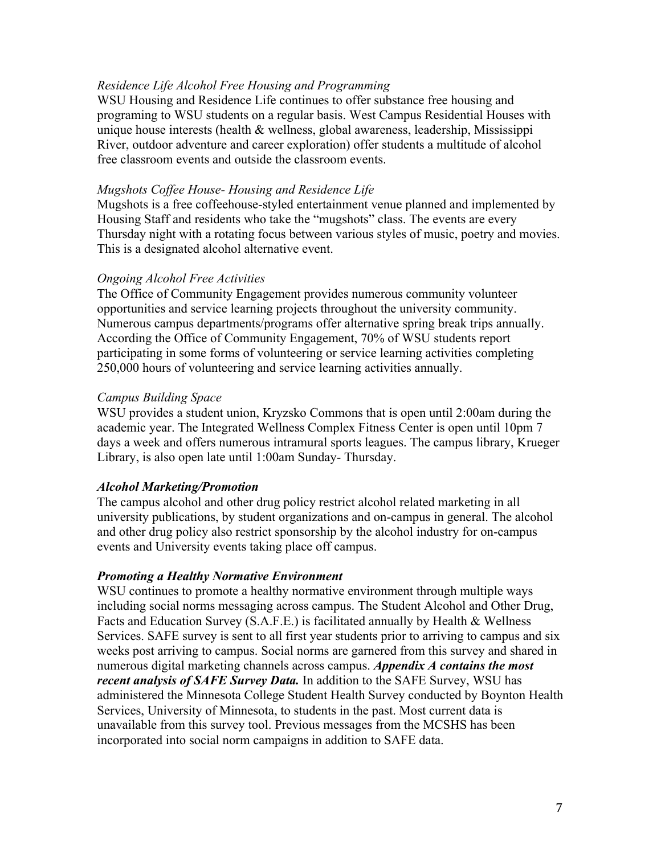### *Residence Life Alcohol Free Housing and Programming*

WSU Housing and Residence Life continues to offer substance free housing and programing to WSU students on a regular basis. West Campus Residential Houses with unique house interests (health & wellness, global awareness, leadership, Mississippi River, outdoor adventure and career exploration) offer students a multitude of alcohol free classroom events and outside the classroom events.

#### *Mugshots Coffee House- Housing and Residence Life*

Mugshots is a free coffeehouse-styled entertainment venue planned and implemented by Housing Staff and residents who take the "mugshots" class. The events are every Thursday night with a rotating focus between various styles of music, poetry and movies. This is a designated alcohol alternative event.

#### *Ongoing Alcohol Free Activities*

The Office of Community Engagement provides numerous community volunteer opportunities and service learning projects throughout the university community. Numerous campus departments/programs offer alternative spring break trips annually. According the Office of Community Engagement, 70% of WSU students report participating in some forms of volunteering or service learning activities completing 250,000 hours of volunteering and service learning activities annually.

#### *Campus Building Space*

WSU provides a student union, Kryzsko Commons that is open until 2:00am during the academic year. The Integrated Wellness Complex Fitness Center is open until 10pm 7 days a week and offers numerous intramural sports leagues. The campus library, Krueger Library, is also open late until 1:00am Sunday- Thursday.

#### *Alcohol Marketing/Promotion*

The campus alcohol and other drug policy restrict alcohol related marketing in all university publications, by student organizations and on-campus in general. The alcohol and other drug policy also restrict sponsorship by the alcohol industry for on-campus events and University events taking place off campus.

#### *Promoting a Healthy Normative Environment*

WSU continues to promote a healthy normative environment through multiple ways including social norms messaging across campus. The Student Alcohol and Other Drug, Facts and Education Survey (S.A.F.E.) is facilitated annually by Health & Wellness Services. SAFE survey is sent to all first year students prior to arriving to campus and six weeks post arriving to campus. Social norms are garnered from this survey and shared in numerous digital marketing channels across campus. *Appendix A contains the most recent analysis of SAFE Survey Data.* In addition to the SAFE Survey, WSU has administered the Minnesota College Student Health Survey conducted by Boynton Health Services, University of Minnesota, to students in the past. Most current data is unavailable from this survey tool. Previous messages from the MCSHS has been incorporated into social norm campaigns in addition to SAFE data.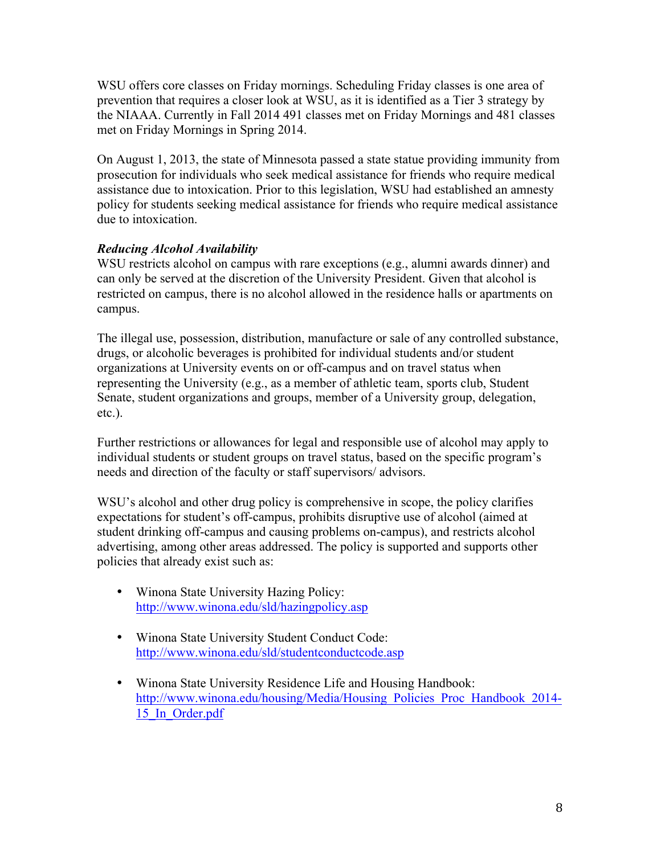WSU offers core classes on Friday mornings. Scheduling Friday classes is one area of prevention that requires a closer look at WSU, as it is identified as a Tier 3 strategy by the NIAAA. Currently in Fall 2014 491 classes met on Friday Mornings and 481 classes met on Friday Mornings in Spring 2014.

On August 1, 2013, the state of Minnesota passed a state statue providing immunity from prosecution for individuals who seek medical assistance for friends who require medical assistance due to intoxication. Prior to this legislation, WSU had established an amnesty policy for students seeking medical assistance for friends who require medical assistance due to intoxication.

# *Reducing Alcohol Availability*

WSU restricts alcohol on campus with rare exceptions (e.g., alumni awards dinner) and can only be served at the discretion of the University President. Given that alcohol is restricted on campus, there is no alcohol allowed in the residence halls or apartments on campus.

The illegal use, possession, distribution, manufacture or sale of any controlled substance, drugs, or alcoholic beverages is prohibited for individual students and/or student organizations at University events on or off-campus and on travel status when representing the University (e.g., as a member of athletic team, sports club, Student Senate, student organizations and groups, member of a University group, delegation, etc.).

Further restrictions or allowances for legal and responsible use of alcohol may apply to individual students or student groups on travel status, based on the specific program's needs and direction of the faculty or staff supervisors/ advisors.

WSU's alcohol and other drug policy is comprehensive in scope, the policy clarifies expectations for student's off-campus, prohibits disruptive use of alcohol (aimed at student drinking off-campus and causing problems on-campus), and restricts alcohol advertising, among other areas addressed. The policy is supported and supports other policies that already exist such as:

- Winona State University Hazing Policy: http://www.winona.edu/sld/hazingpolicy.asp
- Winona State University Student Conduct Code: http://www.winona.edu/sld/studentconductcode.asp
- Winona State University Residence Life and Housing Handbook: http://www.winona.edu/housing/Media/Housing\_Policies\_Proc\_Handbook\_2014-15\_In\_Order.pdf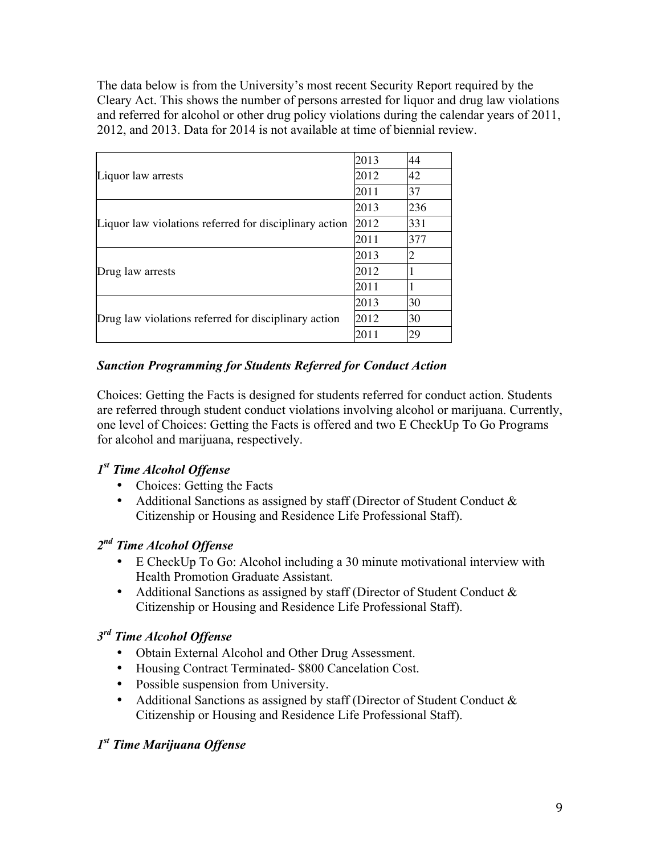The data below is from the University's most recent Security Report required by the Cleary Act. This shows the number of persons arrested for liquor and drug law violations and referred for alcohol or other drug policy violations during the calendar years of 2011, 2012, and 2013. Data for 2014 is not available at time of biennial review.

|                                                        | 2013 | 44  |
|--------------------------------------------------------|------|-----|
| Liquor law arrests                                     | 2012 | 42  |
|                                                        | 2011 | 37  |
|                                                        | 2013 | 236 |
| Liquor law violations referred for disciplinary action | 2012 | 331 |
|                                                        | 2011 | 377 |
|                                                        | 2013 | 2   |
| Drug law arrests                                       | 2012 |     |
|                                                        | 2011 |     |
|                                                        | 2013 | 30  |
| Drug law violations referred for disciplinary action   | 2012 | 30  |
|                                                        | 2011 | 29  |

# *Sanction Programming for Students Referred for Conduct Action*

Choices: Getting the Facts is designed for students referred for conduct action. Students are referred through student conduct violations involving alcohol or marijuana. Currently, one level of Choices: Getting the Facts is offered and two E CheckUp To Go Programs for alcohol and marijuana, respectively.

# *1st Time Alcohol Offense*

- Choices: Getting the Facts
- Additional Sanctions as assigned by staff (Director of Student Conduct & Citizenship or Housing and Residence Life Professional Staff).

# *2nd Time Alcohol Offense*

- E CheckUp To Go: Alcohol including a 30 minute motivational interview with Health Promotion Graduate Assistant.
- Additional Sanctions as assigned by staff (Director of Student Conduct & Citizenship or Housing and Residence Life Professional Staff).

# *3rd Time Alcohol Offense*

- Obtain External Alcohol and Other Drug Assessment.
- Housing Contract Terminated- \$800 Cancelation Cost.
- Possible suspension from University.
- Additional Sanctions as assigned by staff (Director of Student Conduct & Citizenship or Housing and Residence Life Professional Staff).

# *1st Time Marijuana Offense*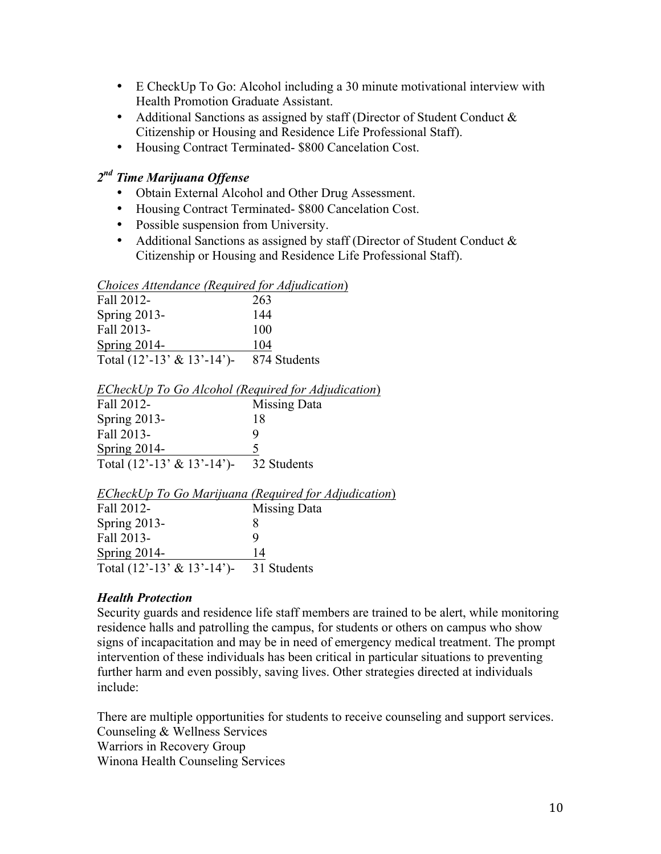- E CheckUp To Go: Alcohol including a 30 minute motivational interview with Health Promotion Graduate Assistant.
- Additional Sanctions as assigned by staff (Director of Student Conduct & Citizenship or Housing and Residence Life Professional Staff).
- Housing Contract Terminated- \$800 Cancelation Cost.

# *2nd Time Marijuana Offense*

- Obtain External Alcohol and Other Drug Assessment.
- Housing Contract Terminated- \$800 Cancelation Cost.
- Possible suspension from University.
- Additional Sanctions as assigned by staff (Director of Student Conduct & Citizenship or Housing and Residence Life Professional Staff).

#### *Choices Attendance (Required for Adjudication*)

| Fall 2012-                     | 263          |
|--------------------------------|--------------|
| Spring $2013$ -                | 144          |
| Fall 2013-                     | 100          |
| Spring 2014-                   | 104          |
| Total $(12'-13' \& 13'-14')$ - | 874 Students |

| ECheckUp To Go Alcohol (Required for Adjudication) |  |  |
|----------------------------------------------------|--|--|
|----------------------------------------------------|--|--|

| Fall 2012-                     | Missing Data |
|--------------------------------|--------------|
| Spring $2013$ -                | 18           |
| Fall 2013-                     | Q            |
| Spring 2014-                   | $\Delta$     |
| Total $(12'-13' \& 13'-14')$ - | 32 Students  |

|                                                                    | ECheckUp To Go Marijuana (Required for Adjudication) |
|--------------------------------------------------------------------|------------------------------------------------------|
| Fall 2012-                                                         | Missing Data                                         |
| Spring $2013$ -                                                    |                                                      |
| Fall 2013-                                                         |                                                      |
| Spring $2014$ -                                                    | 14                                                   |
| Total $(12^{\degree}-13^{\degree} \& 13^{\degree}-14^{\degree})$ - | 31 Students                                          |

# *Health Protection*

Security guards and residence life staff members are trained to be alert, while monitoring residence halls and patrolling the campus, for students or others on campus who show signs of incapacitation and may be in need of emergency medical treatment. The prompt intervention of these individuals has been critical in particular situations to preventing further harm and even possibly, saving lives. Other strategies directed at individuals include:

There are multiple opportunities for students to receive counseling and support services. Counseling & Wellness Services Warriors in Recovery Group Winona Health Counseling Services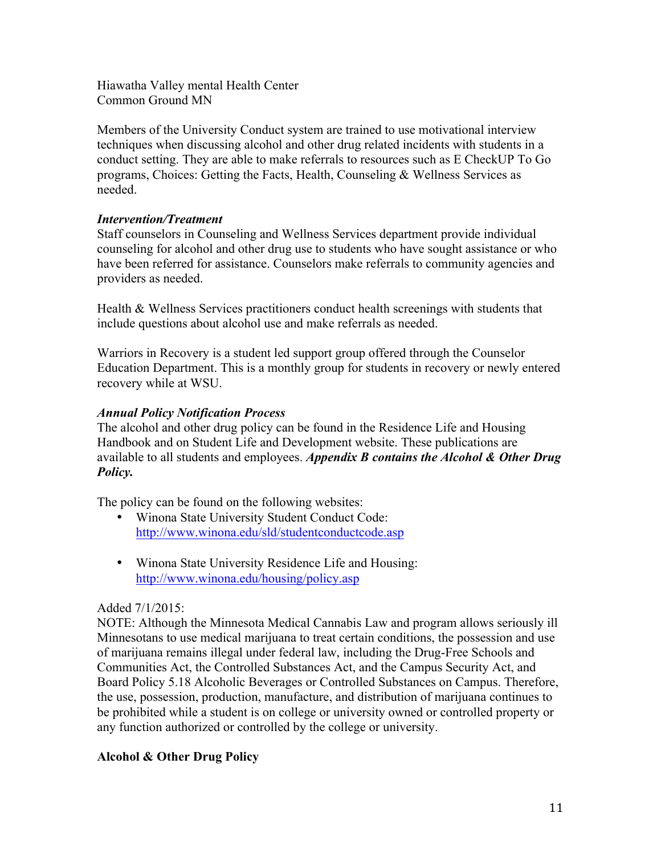Hiawatha Valley mental Health Center Common Ground MN

Members of the University Conduct system are trained to use motivational interview techniques when discussing alcohol and other drug related incidents with students in a conduct setting. They are able to make referrals to resources such as E CheckUP To Go programs, Choices: Getting the Facts, Health, Counseling & Wellness Services as needed.

# *Intervention/Treatment*

Staff counselors in Counseling and Wellness Services department provide individual counseling for alcohol and other drug use to students who have sought assistance or who have been referred for assistance. Counselors make referrals to community agencies and providers as needed.

Health & Wellness Services practitioners conduct health screenings with students that include questions about alcohol use and make referrals as needed.

Warriors in Recovery is a student led support group offered through the Counselor Education Department. This is a monthly group for students in recovery or newly entered recovery while at WSU.

# *Annual Policy Notification Process*

The alcohol and other drug policy can be found in the Residence Life and Housing Handbook and on Student Life and Development website. These publications are available to all students and employees. *Appendix B contains the Alcohol & Other Drug Policy.* 

The policy can be found on the following websites:

- Winona State University Student Conduct Code: http://www.winona.edu/sld/studentconductcode.asp
- Winona State University Residence Life and Housing: http://www.winona.edu/housing/policy.asp

# Added 7/1/2015:

NOTE: Although the Minnesota Medical Cannabis Law and program allows seriously ill Minnesotans to use medical marijuana to treat certain conditions, the possession and use of marijuana remains illegal under federal law, including the Drug-Free Schools and Communities Act, the Controlled Substances Act, and the Campus Security Act, and Board Policy 5.18 Alcoholic Beverages or Controlled Substances on Campus. Therefore, the use, possession, production, manufacture, and distribution of marijuana continues to be prohibited while a student is on college or university owned or controlled property or any function authorized or controlled by the college or university.

# **Alcohol & Other Drug Policy**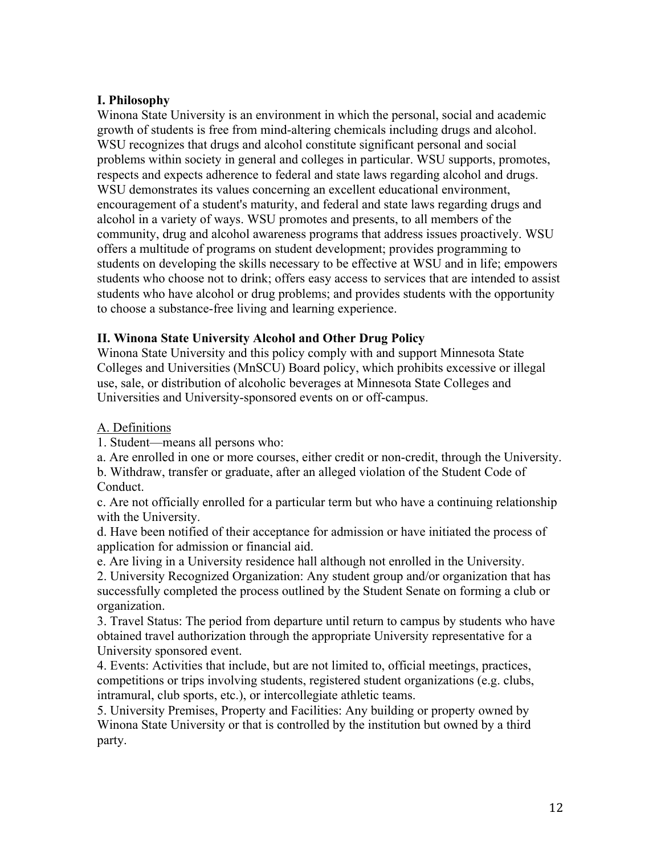# **I. Philosophy**

Winona State University is an environment in which the personal, social and academic growth of students is free from mind-altering chemicals including drugs and alcohol. WSU recognizes that drugs and alcohol constitute significant personal and social problems within society in general and colleges in particular. WSU supports, promotes, respects and expects adherence to federal and state laws regarding alcohol and drugs. WSU demonstrates its values concerning an excellent educational environment, encouragement of a student's maturity, and federal and state laws regarding drugs and alcohol in a variety of ways. WSU promotes and presents, to all members of the community, drug and alcohol awareness programs that address issues proactively. WSU offers a multitude of programs on student development; provides programming to students on developing the skills necessary to be effective at WSU and in life; empowers students who choose not to drink; offers easy access to services that are intended to assist students who have alcohol or drug problems; and provides students with the opportunity to choose a substance-free living and learning experience.

# **II. Winona State University Alcohol and Other Drug Policy**

Winona State University and this policy comply with and support Minnesota State Colleges and Universities (MnSCU) Board policy, which prohibits excessive or illegal use, sale, or distribution of alcoholic beverages at Minnesota State Colleges and Universities and University-sponsored events on or off-campus.

# A. Definitions

1. Student—means all persons who:

a. Are enrolled in one or more courses, either credit or non-credit, through the University.

b. Withdraw, transfer or graduate, after an alleged violation of the Student Code of Conduct.

c. Are not officially enrolled for a particular term but who have a continuing relationship with the University.

d. Have been notified of their acceptance for admission or have initiated the process of application for admission or financial aid.

e. Are living in a University residence hall although not enrolled in the University.

2. University Recognized Organization: Any student group and/or organization that has successfully completed the process outlined by the Student Senate on forming a club or organization.

3. Travel Status: The period from departure until return to campus by students who have obtained travel authorization through the appropriate University representative for a University sponsored event.

4. Events: Activities that include, but are not limited to, official meetings, practices, competitions or trips involving students, registered student organizations (e.g. clubs, intramural, club sports, etc.), or intercollegiate athletic teams.

5. University Premises, Property and Facilities: Any building or property owned by Winona State University or that is controlled by the institution but owned by a third party.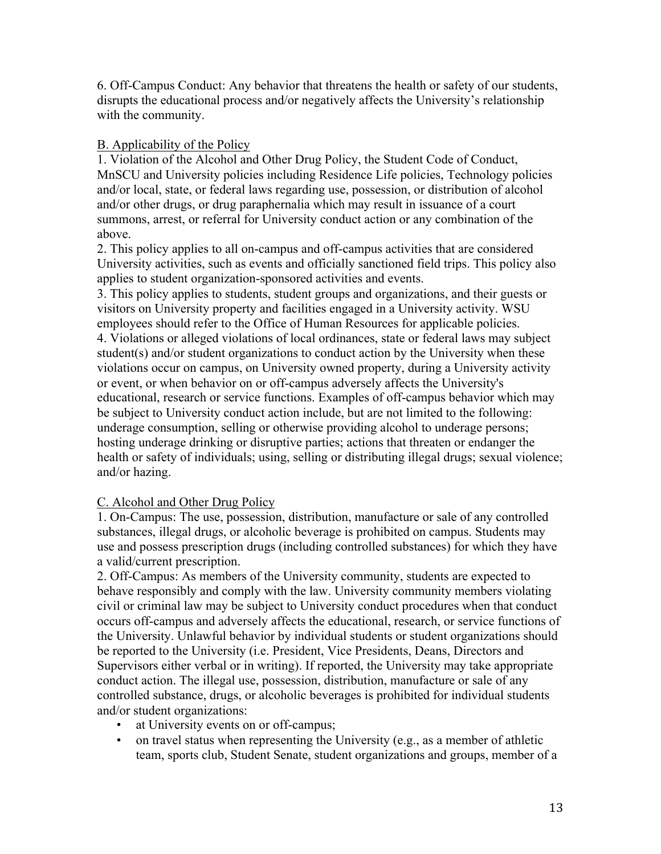6. Off-Campus Conduct: Any behavior that threatens the health or safety of our students, disrupts the educational process and/or negatively affects the University's relationship with the community.

# B. Applicability of the Policy

1. Violation of the Alcohol and Other Drug Policy, the Student Code of Conduct, MnSCU and University policies including Residence Life policies, Technology policies and/or local, state, or federal laws regarding use, possession, or distribution of alcohol and/or other drugs, or drug paraphernalia which may result in issuance of a court summons, arrest, or referral for University conduct action or any combination of the above.

2. This policy applies to all on-campus and off-campus activities that are considered University activities, such as events and officially sanctioned field trips. This policy also applies to student organization-sponsored activities and events.

3. This policy applies to students, student groups and organizations, and their guests or visitors on University property and facilities engaged in a University activity. WSU employees should refer to the Office of Human Resources for applicable policies. 4. Violations or alleged violations of local ordinances, state or federal laws may subject student(s) and/or student organizations to conduct action by the University when these violations occur on campus, on University owned property, during a University activity or event, or when behavior on or off-campus adversely affects the University's educational, research or service functions. Examples of off-campus behavior which may be subject to University conduct action include, but are not limited to the following: underage consumption, selling or otherwise providing alcohol to underage persons; hosting underage drinking or disruptive parties; actions that threaten or endanger the health or safety of individuals; using, selling or distributing illegal drugs; sexual violence; and/or hazing.

# C. Alcohol and Other Drug Policy

1. On-Campus: The use, possession, distribution, manufacture or sale of any controlled substances, illegal drugs, or alcoholic beverage is prohibited on campus. Students may use and possess prescription drugs (including controlled substances) for which they have a valid/current prescription.

2. Off-Campus: As members of the University community, students are expected to behave responsibly and comply with the law. University community members violating civil or criminal law may be subject to University conduct procedures when that conduct occurs off-campus and adversely affects the educational, research, or service functions of the University. Unlawful behavior by individual students or student organizations should be reported to the University (i.e. President, Vice Presidents, Deans, Directors and Supervisors either verbal or in writing). If reported, the University may take appropriate conduct action. The illegal use, possession, distribution, manufacture or sale of any controlled substance, drugs, or alcoholic beverages is prohibited for individual students and/or student organizations:

- at University events on or off-campus;
- on travel status when representing the University (e.g., as a member of athletic team, sports club, Student Senate, student organizations and groups, member of a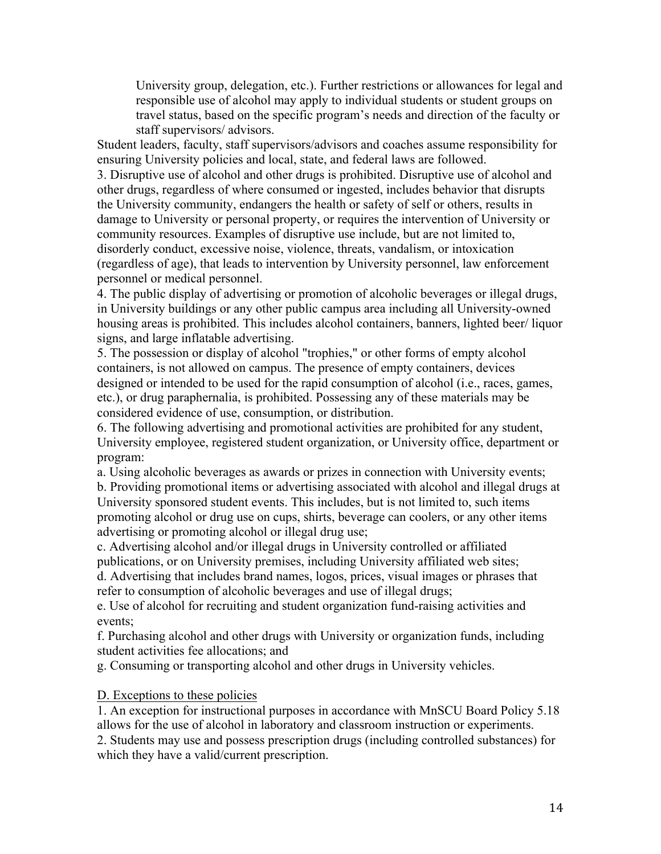University group, delegation, etc.). Further restrictions or allowances for legal and responsible use of alcohol may apply to individual students or student groups on travel status, based on the specific program's needs and direction of the faculty or staff supervisors/ advisors.

Student leaders, faculty, staff supervisors/advisors and coaches assume responsibility for ensuring University policies and local, state, and federal laws are followed.

3. Disruptive use of alcohol and other drugs is prohibited. Disruptive use of alcohol and other drugs, regardless of where consumed or ingested, includes behavior that disrupts the University community, endangers the health or safety of self or others, results in damage to University or personal property, or requires the intervention of University or community resources. Examples of disruptive use include, but are not limited to, disorderly conduct, excessive noise, violence, threats, vandalism, or intoxication (regardless of age), that leads to intervention by University personnel, law enforcement personnel or medical personnel.

4. The public display of advertising or promotion of alcoholic beverages or illegal drugs, in University buildings or any other public campus area including all University-owned housing areas is prohibited. This includes alcohol containers, banners, lighted beer/ liquor signs, and large inflatable advertising.

5. The possession or display of alcohol "trophies," or other forms of empty alcohol containers, is not allowed on campus. The presence of empty containers, devices designed or intended to be used for the rapid consumption of alcohol (i.e., races, games, etc.), or drug paraphernalia, is prohibited. Possessing any of these materials may be considered evidence of use, consumption, or distribution.

6. The following advertising and promotional activities are prohibited for any student, University employee, registered student organization, or University office, department or program:

a. Using alcoholic beverages as awards or prizes in connection with University events;

b. Providing promotional items or advertising associated with alcohol and illegal drugs at University sponsored student events. This includes, but is not limited to, such items promoting alcohol or drug use on cups, shirts, beverage can coolers, or any other items advertising or promoting alcohol or illegal drug use;

c. Advertising alcohol and/or illegal drugs in University controlled or affiliated publications, or on University premises, including University affiliated web sites;

d. Advertising that includes brand names, logos, prices, visual images or phrases that refer to consumption of alcoholic beverages and use of illegal drugs;

e. Use of alcohol for recruiting and student organization fund-raising activities and events;

f. Purchasing alcohol and other drugs with University or organization funds, including student activities fee allocations; and

g. Consuming or transporting alcohol and other drugs in University vehicles.

#### D. Exceptions to these policies

1. An exception for instructional purposes in accordance with MnSCU Board Policy 5.18 allows for the use of alcohol in laboratory and classroom instruction or experiments.

2. Students may use and possess prescription drugs (including controlled substances) for which they have a valid/current prescription.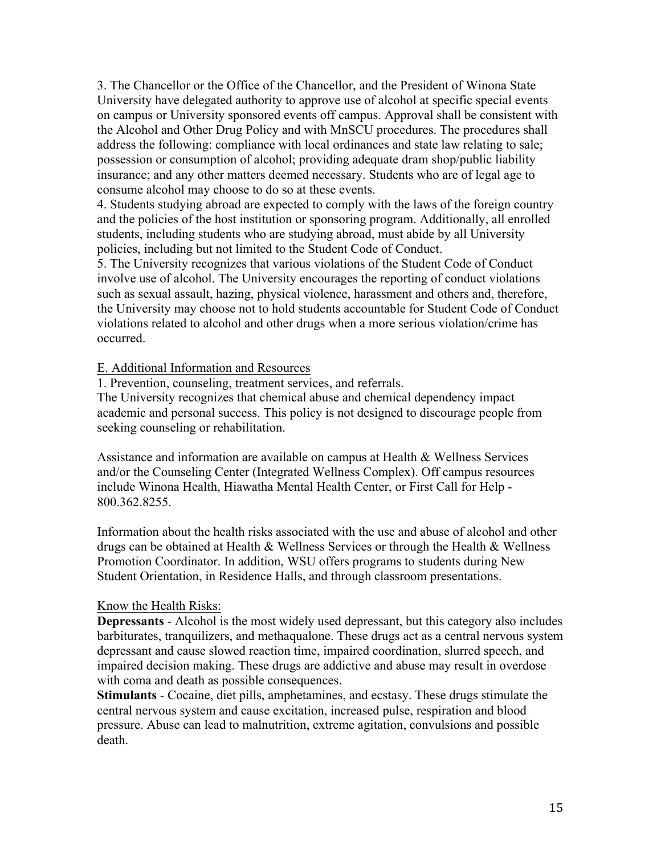3. The Chancellor or the Office of the Chancellor, and the President of Winona State University have delegated authority to approve use of alcohol at specific special events on campus or University sponsored events off campus. Approval shall be consistent with the Alcohol and Other Drug Policy and with MnSCU procedures. The procedures shall address the following: compliance with local ordinances and state law relating to sale; possession or consumption of alcohol; providing adequate dram shop/public liability insurance; and any other matters deemed necessary. Students who are of legal age to consume alcohol may choose to do so at these events.

4. Students studying abroad are expected to comply with the laws of the foreign country and the policies of the host institution or sponsoring program. Additionally, all enrolled students, including students who are studying abroad, must abide by all University policies, including but not limited to the Student Code of Conduct.

5. The University recognizes that various violations of the Student Code of Conduct involve use of alcohol. The University encourages the reporting of conduct violations such as sexual assault, hazing, physical violence, harassment and others and, therefore, the University may choose not to hold students accountable for Student Code of Conduct violations related to alcohol and other drugs when a more serious violation/crime has occurred.

## E. Additional Information and Resources

1. Prevention, counseling, treatment services, and referrals.

The University recognizes that chemical abuse and chemical dependency impact academic and personal success. This policy is not designed to discourage people from seeking counseling or rehabilitation.

Assistance and information are available on campus at Health & Wellness Services and/or the Counseling Center (Integrated Wellness Complex). Off campus resources include Winona Health, Hiawatha Mental Health Center, or First Call for Help - 800.362.8255.

Information about the health risks associated with the use and abuse of alcohol and other drugs can be obtained at Health & Wellness Services or through the Health & Wellness Promotion Coordinator. In addition, WSU offers programs to students during New Student Orientation, in Residence Halls, and through classroom presentations.

#### Know the Health Risks:

**Depressants** - Alcohol is the most widely used depressant, but this category also includes barbiturates, tranquilizers, and methaqualone. These drugs act as a central nervous system depressant and cause slowed reaction time, impaired coordination, slurred speech, and impaired decision making. These drugs are addictive and abuse may result in overdose with coma and death as possible consequences.

**Stimulants** - Cocaine, diet pills, amphetamines, and ecstasy. These drugs stimulate the central nervous system and cause excitation, increased pulse, respiration and blood pressure. Abuse can lead to malnutrition, extreme agitation, convulsions and possible death.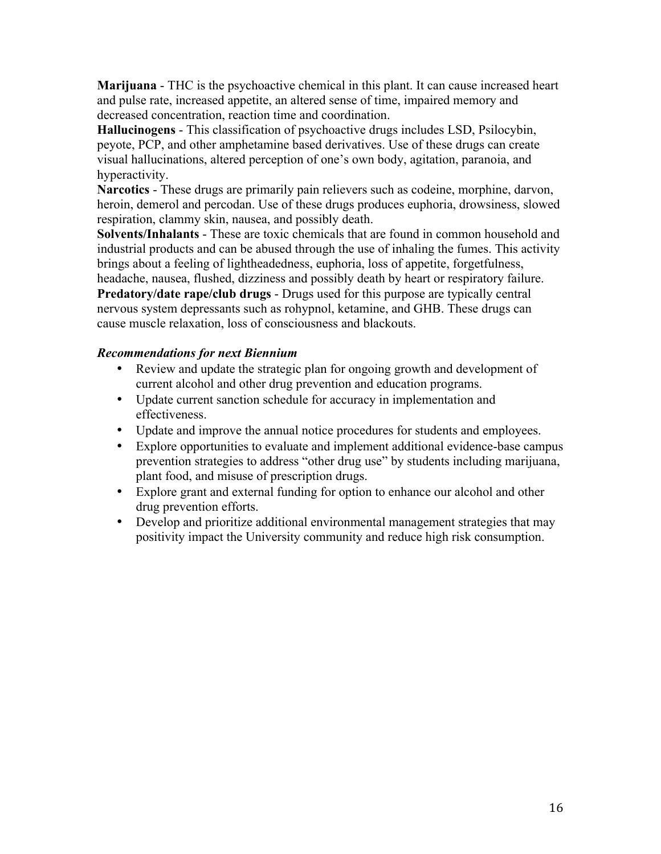**Marijuana** - THC is the psychoactive chemical in this plant. It can cause increased heart and pulse rate, increased appetite, an altered sense of time, impaired memory and decreased concentration, reaction time and coordination.

**Hallucinogens** - This classification of psychoactive drugs includes LSD, Psilocybin, peyote, PCP, and other amphetamine based derivatives. Use of these drugs can create visual hallucinations, altered perception of one's own body, agitation, paranoia, and hyperactivity.

**Narcotics** - These drugs are primarily pain relievers such as codeine, morphine, darvon, heroin, demerol and percodan. Use of these drugs produces euphoria, drowsiness, slowed respiration, clammy skin, nausea, and possibly death.

**Solvents/Inhalants** - These are toxic chemicals that are found in common household and industrial products and can be abused through the use of inhaling the fumes. This activity brings about a feeling of lightheadedness, euphoria, loss of appetite, forgetfulness, headache, nausea, flushed, dizziness and possibly death by heart or respiratory failure.

**Predatory/date rape/club drugs** - Drugs used for this purpose are typically central nervous system depressants such as rohypnol, ketamine, and GHB. These drugs can cause muscle relaxation, loss of consciousness and blackouts.

# *Recommendations for next Biennium*

- Review and update the strategic plan for ongoing growth and development of current alcohol and other drug prevention and education programs.
- Update current sanction schedule for accuracy in implementation and effectiveness.
- Update and improve the annual notice procedures for students and employees.
- Explore opportunities to evaluate and implement additional evidence-base campus prevention strategies to address "other drug use" by students including marijuana, plant food, and misuse of prescription drugs.
- Explore grant and external funding for option to enhance our alcohol and other drug prevention efforts.
- Develop and prioritize additional environmental management strategies that may positivity impact the University community and reduce high risk consumption.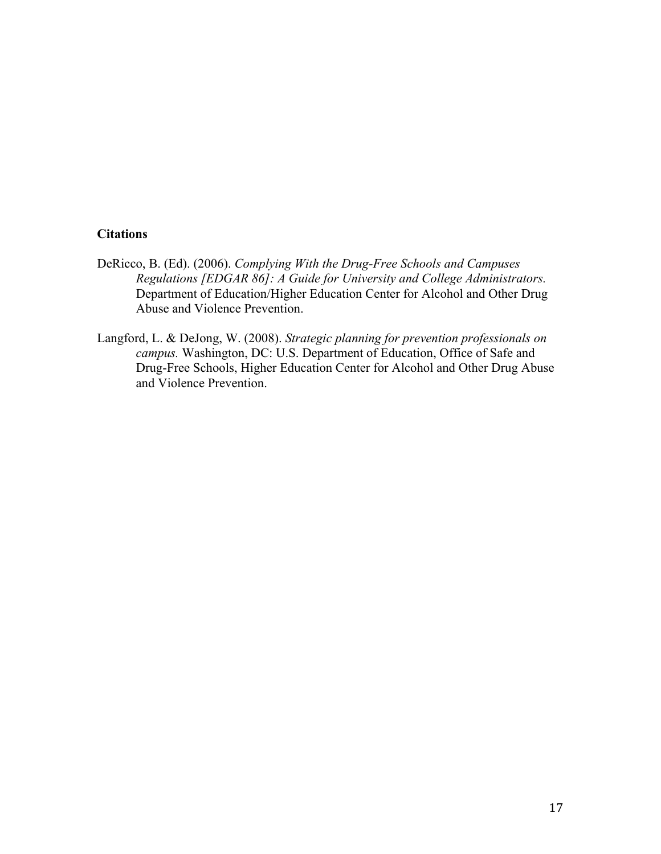## **Citations**

- DeRicco, B. (Ed). (2006). *Complying With the Drug-Free Schools and Campuses Regulations [EDGAR 86]: A Guide for University and College Administrators.*  Department of Education/Higher Education Center for Alcohol and Other Drug Abuse and Violence Prevention.
- Langford, L. & DeJong, W. (2008). *Strategic planning for prevention professionals on campus.* Washington, DC: U.S. Department of Education, Office of Safe and Drug-Free Schools, Higher Education Center for Alcohol and Other Drug Abuse and Violence Prevention.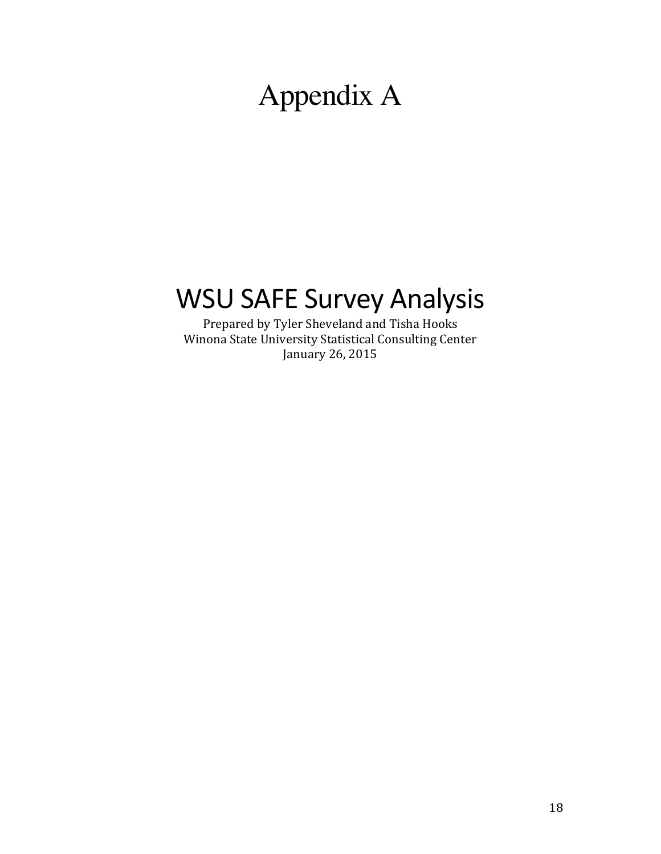# Appendix A

# WSU SAFE Survey Analysis

Prepared by Tyler Sheveland and Tisha Hooks Winona State University Statistical Consulting Center January 26, 2015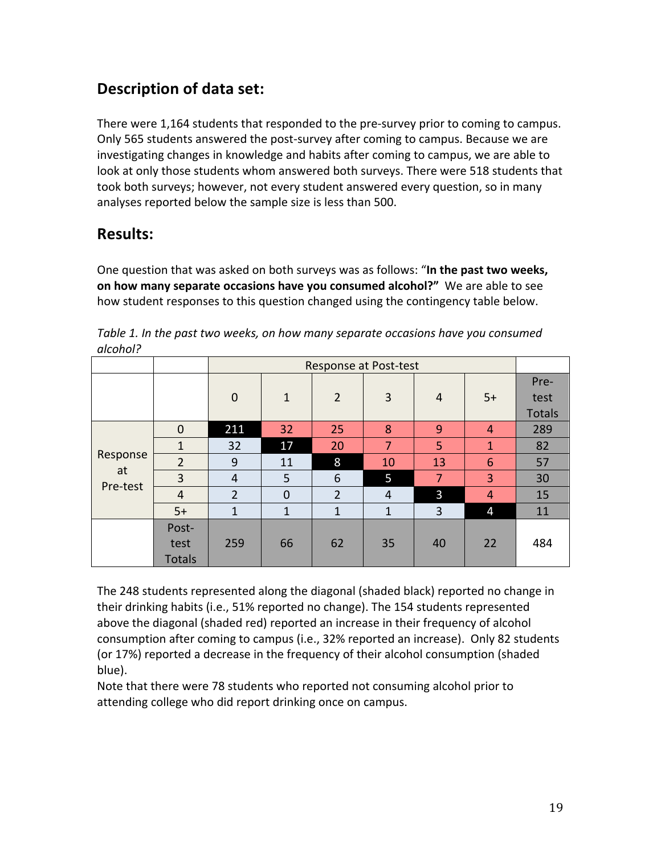# **Description of data set:**

There were 1,164 students that responded to the pre-survey prior to coming to campus. Only 565 students answered the post-survey after coming to campus. Because we are investigating changes in knowledge and habits after coming to campus, we are able to look at only those students whom answered both surveys. There were 518 students that took both surveys; however, not every student answered every question, so in many analyses reported below the sample size is less than 500.

# **Results:**

One question that was asked on both surveys was as follows: "In the past two weeks, **on how many separate occasions have you consumed alcohol?"** We are able to see how student responses to this question changed using the contingency table below.

|                |                |                | Response at Post-test |                |              |                |                |               |
|----------------|----------------|----------------|-----------------------|----------------|--------------|----------------|----------------|---------------|
|                |                |                |                       |                |              |                |                | Pre-          |
|                |                | $\mathbf 0$    | $\mathbf{1}$          | $\overline{2}$ | 3            | $\overline{4}$ | $5+$           | test          |
|                |                |                |                       |                |              |                |                | <b>Totals</b> |
|                | $\mathbf 0$    | 211            | 32                    | 25             | 8            | 9              | $\overline{4}$ | 289           |
|                | $\mathbf{1}$   | 32             | 17                    | 20             | 7            | 5              | $\mathbf{1}$   | 82            |
| Response       | $\overline{2}$ | 9              | 11                    | 8              | 10           | 13             | 6              | 57            |
| at<br>Pre-test | 3              | $\overline{4}$ | 5                     | 6              | 5            | $\overline{7}$ | 3              | 30            |
|                | $\overline{4}$ | $\overline{2}$ | $\mathbf 0$           | $\overline{2}$ | 4            | 3              | $\overline{4}$ | 15            |
|                | $5+$           | $\mathbf{1}$   | $\mathbf{1}$          | $\mathbf{1}$   | $\mathbf{1}$ | 3              | 4              | 11            |
|                | Post-          |                |                       |                |              |                |                |               |
|                | test           | 259            | 66                    | 62             | 35           | 40             | 22             | 484           |
|                | <b>Totals</b>  |                |                       |                |              |                |                |               |

Table 1. In the past two weeks, on how many separate occasions have you consumed *alcohol?*

The 248 students represented along the diagonal (shaded black) reported no change in their drinking habits (i.e., 51% reported no change). The 154 students represented above the diagonal (shaded red) reported an increase in their frequency of alcohol consumption after coming to campus (i.e., 32% reported an increase). Only 82 students (or 17%) reported a decrease in the frequency of their alcohol consumption (shaded blue).

Note that there were 78 students who reported not consuming alcohol prior to attending college who did report drinking once on campus.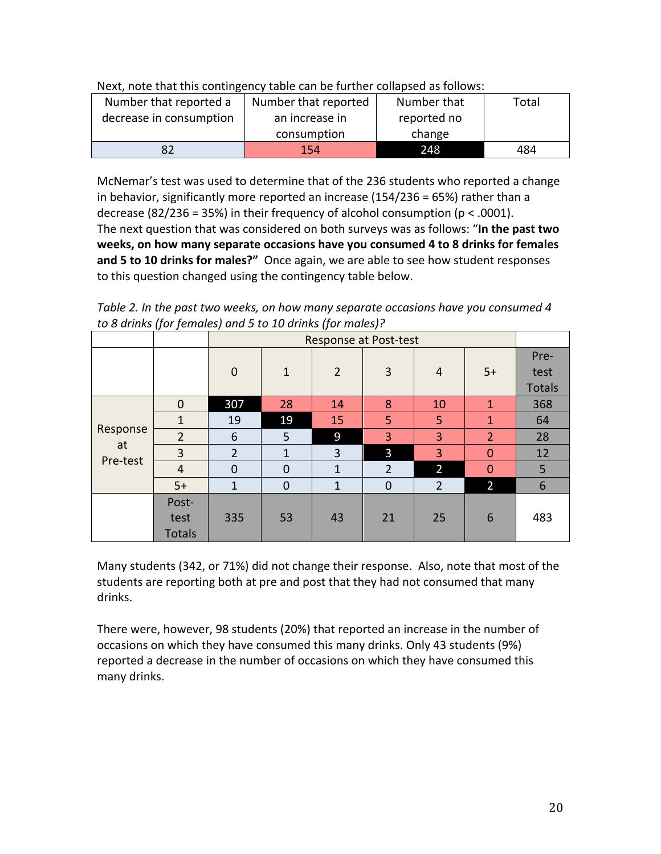| Next, note that this contingency table can be further collapsed as follows: |
|-----------------------------------------------------------------------------|
|-----------------------------------------------------------------------------|

| Number that reported a  | Number that reported          | Number that | Total |
|-------------------------|-------------------------------|-------------|-------|
| decrease in consumption | reported no<br>an increase in |             |       |
|                         | consumption                   | change      |       |
|                         | 154                           | 248         | 484   |

McNemar's test was used to determine that of the 236 students who reported a change in behavior, significantly more reported an increase  $(154/236 = 65%)$  rather than a decrease (82/236 = 35%) in their frequency of alcohol consumption ( $p < .0001$ ). The next question that was considered on both surveys was as follows: "In the past two weeks, on how many separate occasions have you consumed 4 to 8 drinks for females and 5 to 10 drinks for males?" Once again, we are able to see how student responses to this question changed using the contingency table below.

Table 2. In the past two weeks, on how many separate occasions have you consumed 4 *to 8 drinks (for females) and 5 to 10 drinks (for males)?*

|                | $\cdot$<br>-   | $\cdot$        | Response at Post-test |                |                |                |                |               |  |  |
|----------------|----------------|----------------|-----------------------|----------------|----------------|----------------|----------------|---------------|--|--|
|                |                |                |                       |                |                |                |                | Pre-          |  |  |
|                |                | $\mathbf 0$    | $\mathbf{1}$          | $\overline{2}$ | $\mathbf{3}$   | $\overline{4}$ | $5+$           | test          |  |  |
|                |                |                |                       |                |                |                |                | <b>Totals</b> |  |  |
|                | $\mathbf 0$    | 307            | 28                    | 14             | 8              | 10             | $\mathbf{1}$   | 368           |  |  |
|                | 1              | 19             | 19                    | 15             | 5              | 5              | $\mathbf{1}$   | 64            |  |  |
| Response       | $\overline{2}$ | 6              | 5                     | 9              | 3              | 3              | $\overline{2}$ | 28            |  |  |
| at<br>Pre-test | 3              | $\overline{2}$ | $\mathbf{1}$          | 3              | 3              | 3              | $\overline{0}$ | 12            |  |  |
|                | $\overline{4}$ | $\mathbf 0$    | $\mathbf 0$           | $\mathbf{1}$   | $\overline{2}$ | $\overline{2}$ | $\mathbf{0}$   | 5             |  |  |
|                | $5+$           | $\mathbf{1}$   | $\mathbf 0$           | $\mathbf{1}$   | $\mathbf 0$    | $\overline{2}$ | $\overline{2}$ | 6             |  |  |
|                | Post-          |                |                       |                |                |                |                |               |  |  |
|                | test           | 335            | 53                    | 43             | 21             | 25             | 6              | 483           |  |  |
|                | <b>Totals</b>  |                |                       |                |                |                |                |               |  |  |

Many students (342, or 71%) did not change their response. Also, note that most of the students are reporting both at pre and post that they had not consumed that many drinks.

There were, however, 98 students (20%) that reported an increase in the number of occasions on which they have consumed this many drinks. Only 43 students (9%) reported a decrease in the number of occasions on which they have consumed this many drinks.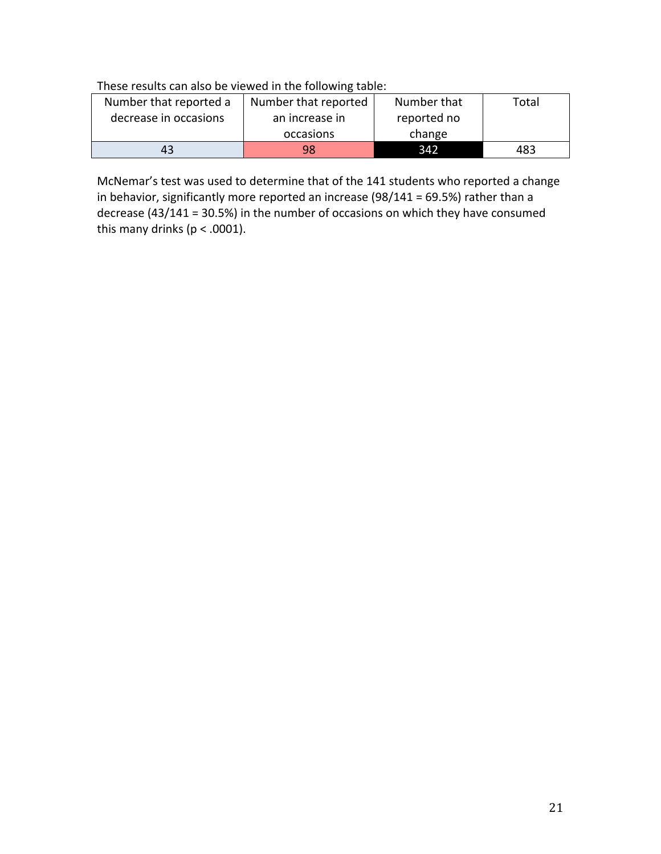# These results can also be viewed in the following table:

| Number that reported a | Number that reported | Number that | Total |
|------------------------|----------------------|-------------|-------|
| decrease in occasions  | an increase in       | reported no |       |
|                        | occasions            | change      |       |
| 43                     | 98                   | 342         | 483   |

McNemar's test was used to determine that of the 141 students who reported a change in behavior, significantly more reported an increase  $(98/141 = 69.5%)$  rather than a decrease  $(43/141 = 30.5%)$  in the number of occasions on which they have consumed this many drinks ( $p < .0001$ ).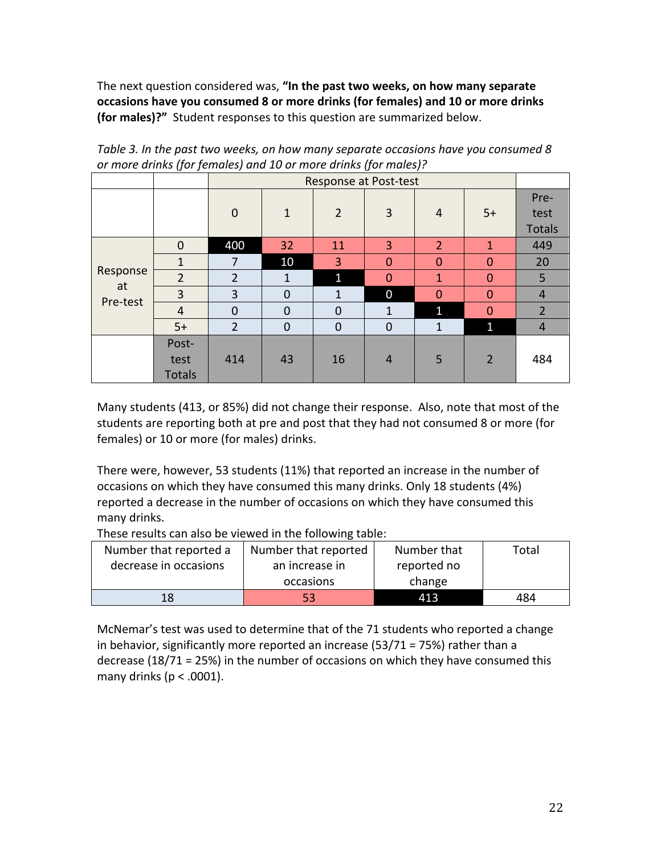The next question considered was, "In the past two weeks, on how many separate **occasions have you consumed 8 or more drinks (for females) and 10 or more drinks (for males)?"** Student responses to this question are summarized below.

| $\sim$ more armino from fermance, and $\pm$ or more armino from marce, $\sim$ |                                |                | Response at Post-test |                |                |                |                |                               |  |  |
|-------------------------------------------------------------------------------|--------------------------------|----------------|-----------------------|----------------|----------------|----------------|----------------|-------------------------------|--|--|
|                                                                               |                                | $\mathbf 0$    | $\mathbf{1}$          | $\overline{2}$ | 3              | 4              | $5+$           | Pre-<br>test<br><b>Totals</b> |  |  |
|                                                                               | $\mathbf 0$                    | 400            | 32                    | 11             | 3              | $\overline{2}$ | 1              | 449                           |  |  |
|                                                                               | 1                              | 7              | 10                    | $\overline{3}$ | $\overline{0}$ | $\mathbf 0$    | $\mathbf{0}$   | 20                            |  |  |
| Response                                                                      | $\overline{2}$                 | $\overline{2}$ | $\mathbf{1}$          | $\mathbf{1}$   | $\overline{0}$ | 1              | $\mathbf{0}$   | 5                             |  |  |
| at<br>Pre-test                                                                | 3                              | 3              | $\mathbf{0}$          | $\mathbf{1}$   | $\overline{0}$ | $\mathbf 0$    | $\mathbf{0}$   | $\overline{4}$                |  |  |
|                                                                               | $\overline{4}$                 | $\mathbf 0$    | $\mathbf{0}$          | $\mathbf{0}$   | $\mathbf{1}$   | 1              | $\overline{0}$ | $\overline{2}$                |  |  |
|                                                                               | $5+$                           | $\overline{2}$ | $\mathbf{0}$          | $\mathbf 0$    | $\mathbf 0$    | $\mathbf{1}$   | $\mathbf{1}$   | $\overline{4}$                |  |  |
|                                                                               | Post-<br>test<br><b>Totals</b> | 414            | 43                    | 16             | $\overline{4}$ | 5              | $\overline{2}$ | 484                           |  |  |

Table 3. In the past two weeks, on how many separate occasions have you consumed 8 or more drinks (for females) and 10 or more drinks (for males)?

Many students (413, or 85%) did not change their response. Also, note that most of the students are reporting both at pre and post that they had not consumed 8 or more (for females) or 10 or more (for males) drinks.

There were, however, 53 students (11%) that reported an increase in the number of occasions on which they have consumed this many drinks. Only 18 students (4%) reported a decrease in the number of occasions on which they have consumed this many drinks.

These results can also be viewed in the following table:

| Number that reported a | Number that reported | Number that | Total |
|------------------------|----------------------|-------------|-------|
| decrease in occasions  | an increase in       | reported no |       |
|                        | occasions            | change      |       |
| 18                     | 53                   | 413         | 484   |

McNemar's test was used to determine that of the 71 students who reported a change in behavior, significantly more reported an increase  $(53/71 = 75%)$  rather than a decrease  $(18/71 = 25%)$  in the number of occasions on which they have consumed this many drinks ( $p < .0001$ ).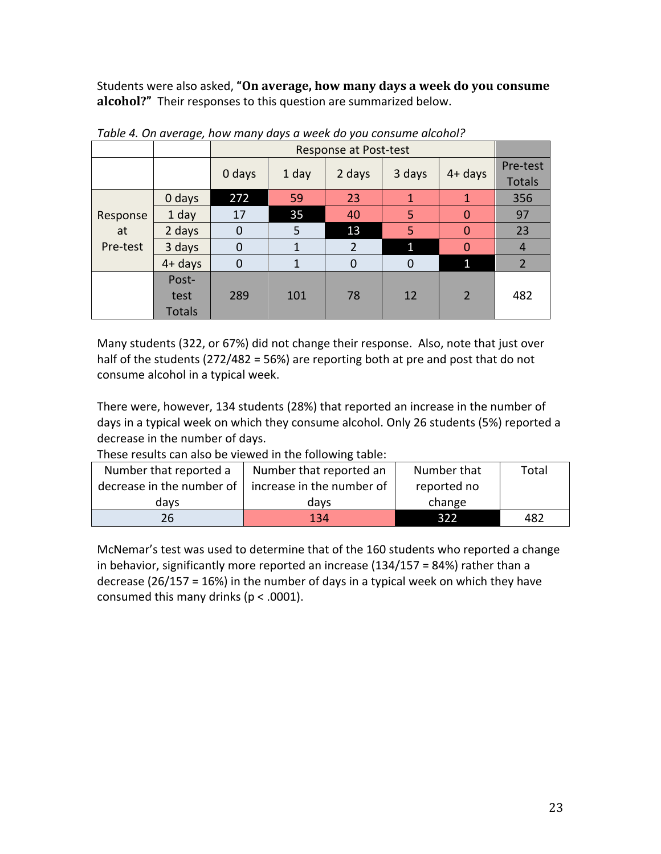Students were also asked, "On average, how many days a week do you consume alcohol?" Their responses to this question are summarized below.

|          |               |                | Response at Post-test |                |              |              |                           |  |  |  |  |
|----------|---------------|----------------|-----------------------|----------------|--------------|--------------|---------------------------|--|--|--|--|
|          |               | 0 days         | 1 day                 | 2 days         | 3 days       | $4 + days$   | Pre-test<br><b>Totals</b> |  |  |  |  |
|          | 0 days        | 272            | 59                    | 23             | $\mathbf{1}$ | 1            | 356                       |  |  |  |  |
| Response | 1 day         | 17             | 35                    | 40             | 5            | $\Omega$     | 97                        |  |  |  |  |
| at       | 2 days        | $\mathbf 0$    | 5                     | 13             | 5            | $\Omega$     | 23                        |  |  |  |  |
| Pre-test | 3 days        | $\overline{0}$ | 1                     | $\overline{2}$ | $\mathbf{1}$ | 0            | 4                         |  |  |  |  |
|          | $4 + days$    | $\mathbf 0$    | 1                     | $\overline{0}$ | $\mathbf 0$  | $\mathbf{1}$ | $\overline{2}$            |  |  |  |  |
|          | Post-         |                |                       |                |              |              |                           |  |  |  |  |
|          | test          | 289            | 101                   | 78             | 12           | 2            | 482                       |  |  |  |  |
|          | <b>Totals</b> |                |                       |                |              |              |                           |  |  |  |  |

Table 4. On average, how many days a week do you consume alcohol?

Many students (322, or 67%) did not change their response. Also, note that just over half of the students (272/482 = 56%) are reporting both at pre and post that do not consume alcohol in a typical week.

There were, however, 134 students (28%) that reported an increase in the number of days in a typical week on which they consume alcohol. Only 26 students (5%) reported a decrease in the number of days.

| THESE TESUILS CATT AISU DE VIEWEU III LIJE TUIJUWIIIK LADIE. |                                                             |             |       |  |  |  |  |  |
|--------------------------------------------------------------|-------------------------------------------------------------|-------------|-------|--|--|--|--|--|
| Number that reported a                                       | Number that reported an                                     | Number that | Total |  |  |  |  |  |
|                                                              | decrease in the number of $\vert$ increase in the number of | reported no |       |  |  |  |  |  |
| davs                                                         | davs                                                        | change      |       |  |  |  |  |  |
| 26                                                           | 134                                                         | 322         | 482   |  |  |  |  |  |

These results can also be viewed in the following table:

McNemar's test was used to determine that of the 160 students who reported a change in behavior, significantly more reported an increase  $(134/157 - 84%)$  rather than a decrease (26/157 = 16%) in the number of days in a typical week on which they have consumed this many drinks ( $p < .0001$ ).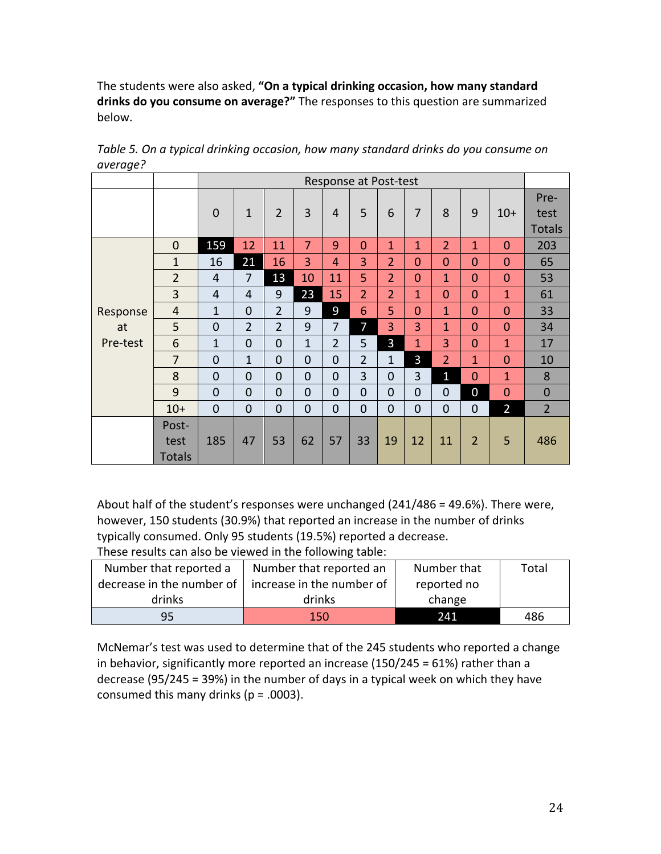The students were also asked, "On a typical drinking occasion, how many standard drinks do you consume on average?" The responses to this question are summarized below. 

|          |                                |                | Response at Post-test |                |                |                |                |                |                         |                |                |                |                               |
|----------|--------------------------------|----------------|-----------------------|----------------|----------------|----------------|----------------|----------------|-------------------------|----------------|----------------|----------------|-------------------------------|
|          |                                | $\overline{0}$ | $\mathbf{1}$          | $\overline{2}$ | 3              | 4              | 5              | 6              | $\overline{7}$          | 8              | 9              | $10+$          | Pre-<br>test<br><b>Totals</b> |
|          | $\mathbf 0$                    | 159            | 12                    | 11             | 7              | 9              | $\overline{0}$ | $\mathbf{1}$   | $\overline{\mathbf{1}}$ | $\overline{2}$ | $\mathbf{1}$   | $\mathbf{0}$   | 203                           |
|          | 1                              | 16             | 21                    | 16             | 3              | 4              | 3              | $\overline{2}$ | $\Omega$                | $\overline{0}$ | $\overline{0}$ | $\mathbf{0}$   | 65                            |
|          | $\overline{2}$                 | 4              | $\overline{7}$        | 13             | 10             | 11             | 5              | $\overline{2}$ | 0                       | $\mathbf{1}$   | $\overline{0}$ | $\overline{0}$ | 53                            |
|          | 3                              | 4              | 4                     | 9              | 23             | 15             | $\overline{2}$ | $\overline{2}$ | 1                       | $\overline{0}$ | $\overline{0}$ | $\mathbf{1}$   | 61                            |
| Response | 4                              | $\mathbf{1}$   | $\overline{0}$        | $\overline{2}$ | 9              | 9              | 6              | 5              | $\mathbf 0$             | $\mathbf{1}$   | $\overline{0}$ | $\mathbf{0}$   | 33                            |
| at       | 5                              | $\overline{0}$ | $\overline{2}$        | $\overline{2}$ | 9              | $\overline{7}$ | 7              | 3              | 3                       | $\mathbf{1}$   | 0              | $\mathbf{0}$   | 34                            |
| Pre-test | 6                              | 1              | $\mathbf 0$           | $\overline{0}$ | $\mathbf{1}$   | $\overline{2}$ | 5              | 3              | 1                       | 3              | $\overline{0}$ | $\mathbf{1}$   | 17                            |
|          | 7                              | $\overline{0}$ | $\mathbf{1}$          | $\overline{0}$ | $\overline{0}$ | $\overline{0}$ | $\overline{2}$ | $\mathbf{1}$   | 3                       | $\overline{2}$ | $\mathbf{1}$   | $\mathbf{0}$   | 10                            |
|          | 8                              | $\overline{0}$ | $\overline{0}$        | $\overline{0}$ | $\overline{0}$ | $\overline{0}$ | $\overline{3}$ | $\overline{0}$ | 3                       | $\mathbf{1}$   | $\overline{0}$ | $\mathbf{1}$   | 8                             |
|          | 9                              | $\overline{0}$ | $\overline{0}$        | $\overline{0}$ | $\overline{0}$ | $\overline{0}$ | $\overline{0}$ | $\overline{0}$ | $\overline{0}$          | $\overline{0}$ | 0              | $\overline{0}$ | $\overline{0}$                |
|          | $10+$                          | $\overline{0}$ | $\overline{0}$        | $\overline{0}$ | $\overline{0}$ | $\overline{0}$ | $\overline{0}$ | $\overline{0}$ | $\overline{0}$          | $\overline{0}$ | $\mathbf 0$    | $\overline{2}$ | $\overline{2}$                |
|          | Post-<br>test<br><b>Totals</b> | 185            | 47                    | 53             | 62             | 57             | 33             | 19             | 12                      | 11             | $\overline{2}$ | 5              | 486                           |

Table 5. On a typical drinking occasion, how many standard drinks do you consume on *average?*

About half of the student's responses were unchanged  $(241/486 = 49.6\%)$ . There were, however, 150 students (30.9%) that reported an increase in the number of drinks typically consumed. Only 95 students (19.5%) reported a decrease.

These results can also be viewed in the following table:

| Number that reported a    | Number that reported an   | Number that | Total |  |  |  |  |  |  |
|---------------------------|---------------------------|-------------|-------|--|--|--|--|--|--|
| decrease in the number of | increase in the number of | reported no |       |  |  |  |  |  |  |
| drinks                    | drinks                    | change      |       |  |  |  |  |  |  |
| 95                        | 150                       | 241         | 486   |  |  |  |  |  |  |

McNemar's test was used to determine that of the 245 students who reported a change in behavior, significantly more reported an increase  $(150/245 = 61%)$  rather than a decrease  $(95/245 = 39%)$  in the number of days in a typical week on which they have consumed this many drinks  $(p = .0003)$ .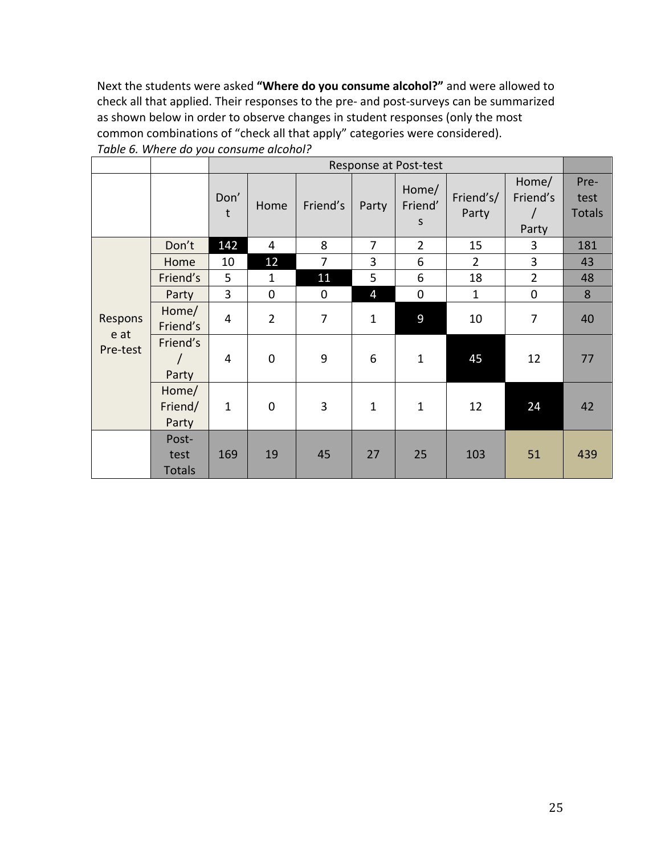Next the students were asked "Where do you consume alcohol?" and were allowed to check all that applied. Their responses to the pre- and post-surveys can be summarized as shown below in order to observe changes in student responses (only the most common combinations of "check all that apply" categories were considered). Table 6. Where do you consume alcohol?

|                             |                                |                | Response at Post-test |                |                |                       |                    |                            |                               |  |
|-----------------------------|--------------------------------|----------------|-----------------------|----------------|----------------|-----------------------|--------------------|----------------------------|-------------------------------|--|
|                             |                                | Don'<br>t      | Home                  | Friend's       | Party          | Home/<br>Friend'<br>S | Friend's/<br>Party | Home/<br>Friend's<br>Party | Pre-<br>test<br><b>Totals</b> |  |
|                             | Don't                          | 142            | 4                     | 8              | 7              | $\overline{2}$        | 15                 | 3                          | 181                           |  |
|                             | Home                           | 10             | 12                    | $\overline{7}$ | 3              | 6                     | $\overline{2}$     | 3                          | 43                            |  |
|                             | Friend's                       | 5              | $\mathbf{1}$          | 11             | 5              | 6                     | 18                 | $\overline{2}$             | 48                            |  |
| Respons<br>e at<br>Pre-test | Party                          | $\overline{3}$ | $\mathbf 0$           | 0              | $\overline{4}$ | $\mathbf 0$           | $\mathbf{1}$       | 0                          | 8                             |  |
|                             | Home/<br>Friend's              | 4              | $\overline{2}$        | $\overline{7}$ | $\mathbf{1}$   | 9                     | 10                 | $\overline{7}$             | 40                            |  |
|                             | Friend's<br>Party              | 4              | $\mathbf 0$           | 9              | 6              | $\mathbf{1}$          | 45                 | 12                         | 77                            |  |
|                             | Home/<br>Friend/<br>Party      | $\mathbf{1}$   | $\mathbf 0$           | 3              | $\mathbf{1}$   | $\mathbf{1}$          | 12                 | 24                         | 42                            |  |
|                             | Post-<br>test<br><b>Totals</b> | 169            | 19                    | 45             | 27             | 25                    | 103                | 51                         | 439                           |  |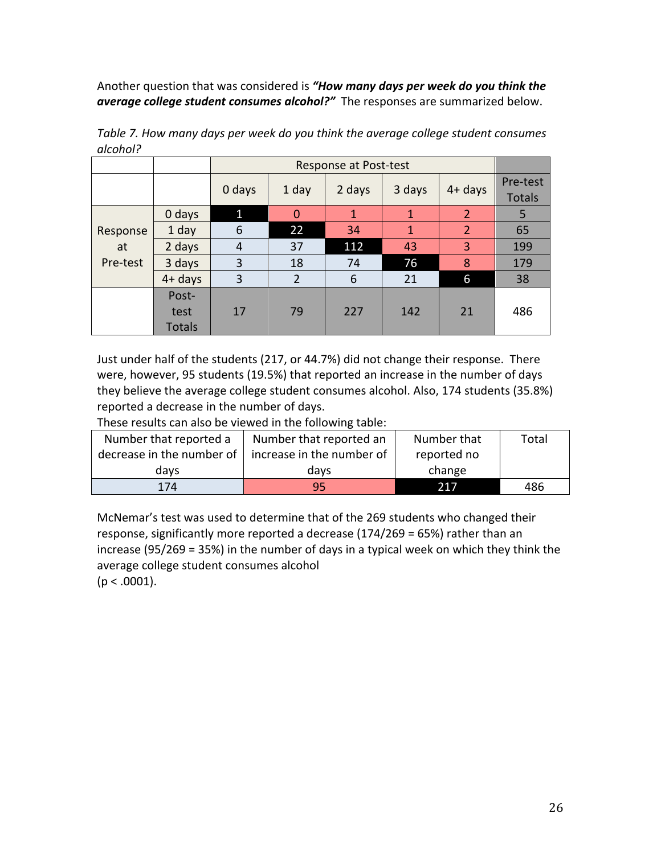Another question that was considered is "How many days per week do you think the average college student consumes alcohol?" The responses are summarized below.

|          |                       |                | Response at Post-test |              |              |                |                           |  |  |  |
|----------|-----------------------|----------------|-----------------------|--------------|--------------|----------------|---------------------------|--|--|--|
|          |                       | 0 days         | 1 day                 | 2 days       | 3 days       | $4 + days$     | Pre-test<br><b>Totals</b> |  |  |  |
|          | 0 days                | $\mathbf{1}$   | $\overline{0}$        | $\mathbf{1}$ | 1            | 2              | 5                         |  |  |  |
| Response | 1 day                 | 6              | 22                    | 34           | $\mathbf{1}$ | $\overline{2}$ | 65                        |  |  |  |
| at       | 2 days                | $\overline{4}$ | 37                    | 112          | 43           | 3              | 199                       |  |  |  |
| Pre-test | 3 days                | 3              | 18                    | 74           | 76           | 8              | 179                       |  |  |  |
|          | $4+$ days             | 3              | $\overline{2}$        | 6            | 21           | 6              | 38                        |  |  |  |
|          | Post-                 |                |                       |              |              |                |                           |  |  |  |
|          | test<br><b>Totals</b> | 17             | 79                    | 227          | 142          | 21             | 486                       |  |  |  |
|          |                       |                |                       |              |              |                |                           |  |  |  |

Table 7. How many days per week do you think the average college student consumes *alcohol?*

Just under half of the students (217, or 44.7%) did not change their response. There were, however, 95 students (19.5%) that reported an increase in the number of days they believe the average college student consumes alcohol. Also, 174 students (35.8%) reported a decrease in the number of days.

These results can also be viewed in the following table:

| Number that reported a                                  | Number that reported an | Number that | Total |
|---------------------------------------------------------|-------------------------|-------------|-------|
| decrease in the number of $ $ increase in the number of |                         | reported no |       |
| davs                                                    | davs                    | change      |       |
| 174                                                     | 95                      | 217         | 486   |

McNemar's test was used to determine that of the 269 students who changed their response, significantly more reported a decrease  $(174/269 = 65%)$  rather than an increase  $(95/269 = 35%)$  in the number of days in a typical week on which they think the average college student consumes alcohol  $(p < .0001)$ .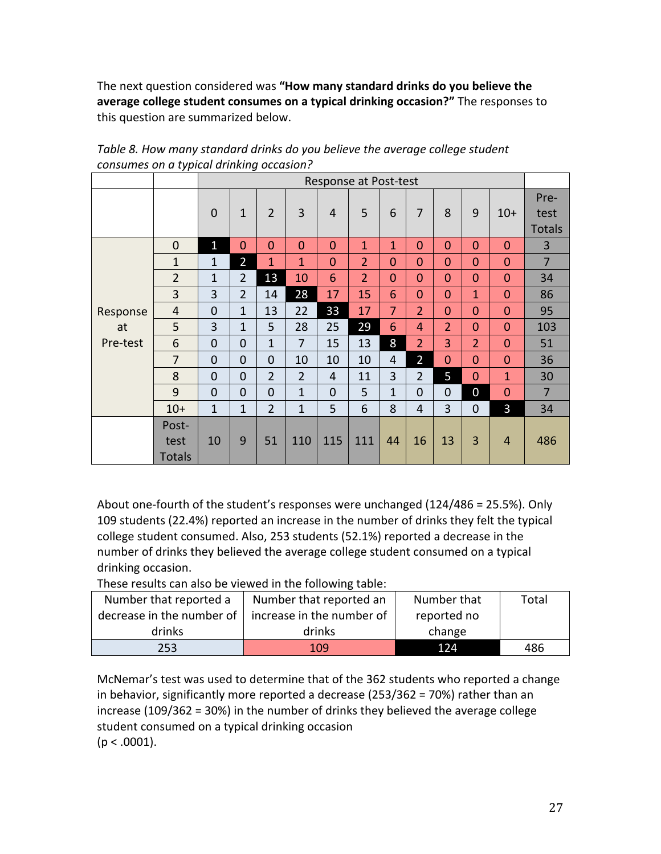The next question considered was "How many standard drinks do you believe the average college student consumes on a typical drinking occasion?" The responses to this question are summarized below.

|          |                | Response at Post-test |                |                |                |                |                |                |                |                |                |                |                |
|----------|----------------|-----------------------|----------------|----------------|----------------|----------------|----------------|----------------|----------------|----------------|----------------|----------------|----------------|
|          |                | $\mathbf 0$           | $\mathbf{1}$   | $\overline{2}$ | 3              | 4              | 5              | 6              | $\overline{7}$ | 8              | 9              | $10+$          | Pre-<br>test   |
|          |                |                       |                |                |                |                |                |                |                |                |                |                | <b>Totals</b>  |
|          | $\mathbf 0$    | $\mathbf{1}$          | $\overline{0}$ | $\overline{0}$ | $\overline{0}$ | $\overline{0}$ | $\mathbf{1}$   | $\mathbf{1}$   | $\overline{0}$ | $\overline{0}$ | $\overline{0}$ | $\mathbf{0}$   | 3              |
|          | $\mathbf{1}$   | 1                     | $\overline{2}$ | 1              | 1              | $\mathbf{0}$   | $\overline{2}$ | $\overline{0}$ | $\overline{0}$ | $\overline{0}$ | $\overline{0}$ | $\overline{0}$ | $\overline{7}$ |
|          | $\overline{2}$ | 1                     | $\overline{2}$ | 13             | 10             | 6              | $\overline{2}$ | $\overline{0}$ | $\overline{0}$ | $\overline{0}$ | $\overline{0}$ | $\overline{0}$ | 34             |
|          | 3              | 3                     | $\overline{2}$ | 14             | 28             | 17             | 15             | 6              | $\overline{0}$ | $\overline{0}$ | $\mathbf{1}$   | $\overline{0}$ | 86             |
| Response | 4              | $\overline{0}$        | $\mathbf{1}$   | 13             | 22             | 33             | 17             | $\overline{7}$ | $\overline{2}$ | $\overline{0}$ | $\overline{0}$ | $\overline{0}$ | 95             |
| at       | 5              | 3                     | $\mathbf{1}$   | 5              | 28             | 25             | 29             | 6              | 4              | $\overline{2}$ | $\overline{0}$ | $\overline{0}$ | 103            |
| Pre-test | 6              | $\mathbf 0$           | $\mathbf 0$    | $\mathbf{1}$   | 7              | 15             | 13             | 8              | $\overline{2}$ | 3              | $\overline{2}$ | $\mathbf{0}$   | 51             |
|          | $\overline{7}$ | $\mathbf 0$           | $\overline{0}$ | $\mathbf 0$    | 10             | 10             | 10             | 4              | $\overline{2}$ | $\mathbf{0}$   | $\overline{0}$ | $\mathbf{0}$   | 36             |
|          | 8              | $\overline{0}$        | $\overline{0}$ | $\overline{2}$ | $\overline{2}$ | $\overline{4}$ | 11             | 3              | $\overline{2}$ | 5              | $\overline{0}$ | $\mathbf{1}$   | 30             |
|          | 9              | $\overline{0}$        | $\overline{0}$ | $\overline{0}$ | $\mathbf{1}$   | $\overline{0}$ | 5              | $\mathbf{1}$   | $\overline{0}$ | $\overline{0}$ | $\overline{0}$ | $\mathbf{0}$   | $\overline{7}$ |
|          | $10+$          | $\mathbf{1}$          | $\mathbf{1}$   | $\overline{2}$ | $\mathbf{1}$   | 5              | 6              | 8              | 4              | 3              | $\overline{0}$ | 3              | 34             |
|          | Post-          |                       |                |                |                |                |                |                |                |                |                |                |                |
|          | test           | 10                    | 9              | 51             | 110            | 115            | 111            | 44             | 16             | 13             | 3              | $\overline{4}$ | 486            |
|          | <b>Totals</b>  |                       |                |                |                |                |                |                |                |                |                |                |                |

Table 8. How many standard drinks do you believe the average college student *consumes on a typical drinking occasion?*

About one-fourth of the student's responses were unchanged  $(124/486 = 25.5\%)$ . Only 109 students (22.4%) reported an increase in the number of drinks they felt the typical college student consumed. Also, 253 students (52.1%) reported a decrease in the number of drinks they believed the average college student consumed on a typical drinking occasion.

These results can also be viewed in the following table:

| Number that reported a                                      | Number that reported an | Number that | Total |
|-------------------------------------------------------------|-------------------------|-------------|-------|
| decrease in the number of $\vert$ increase in the number of |                         | reported no |       |
| drinks                                                      | drinks                  | change      |       |
| 253                                                         | 109                     | 124         | 486   |

McNemar's test was used to determine that of the 362 students who reported a change in behavior, significantly more reported a decrease  $(253/362 = 70%)$  rather than an  $increases$  (109/362 = 30%) in the number of drinks they believed the average college student consumed on a typical drinking occasion  $(p < .0001)$ .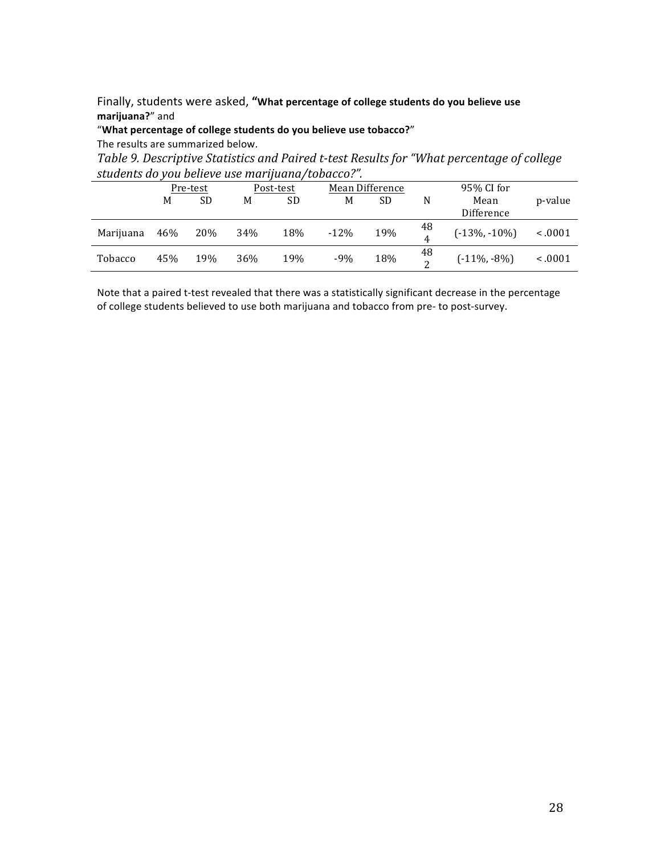Finally, students were asked, "What percentage of college students do you believe use **marijuana?**" and

"What percentage of college students do you believe use tobacco?"

The results are summarized below.

Table 9. Descriptive Statistics and Paired t-test Results for "What percentage of college students do *vou believe use marijuana/tobacco?"*.

| stauchts ab you believe ase marijaana/tobacco. |          |     |           |     |        |                 |          |                    |              |
|------------------------------------------------|----------|-----|-----------|-----|--------|-----------------|----------|--------------------|--------------|
|                                                | Pre-test |     | Post-test |     |        | Mean Difference |          | 95% CI for         |              |
|                                                | M        | SD  | M         | SD  | М      | SD              | N        | Mean<br>Difference | p-value      |
| Marijuana                                      | 46%      | 20% | 34%       | 18% | $-12%$ | 19%             | 48<br>4  | $(-13\%, -10\%)$   | < 0.001      |
| Tobacco                                        | 45%      | 19% | 36%       | 19% | $-9%$  | 18%             | 48<br>ົາ | $(-11\%, -8\%)$    | $\leq .0001$ |

Note that a paired t-test revealed that there was a statistically significant decrease in the percentage of college students believed to use both marijuana and tobacco from pre- to post-survey.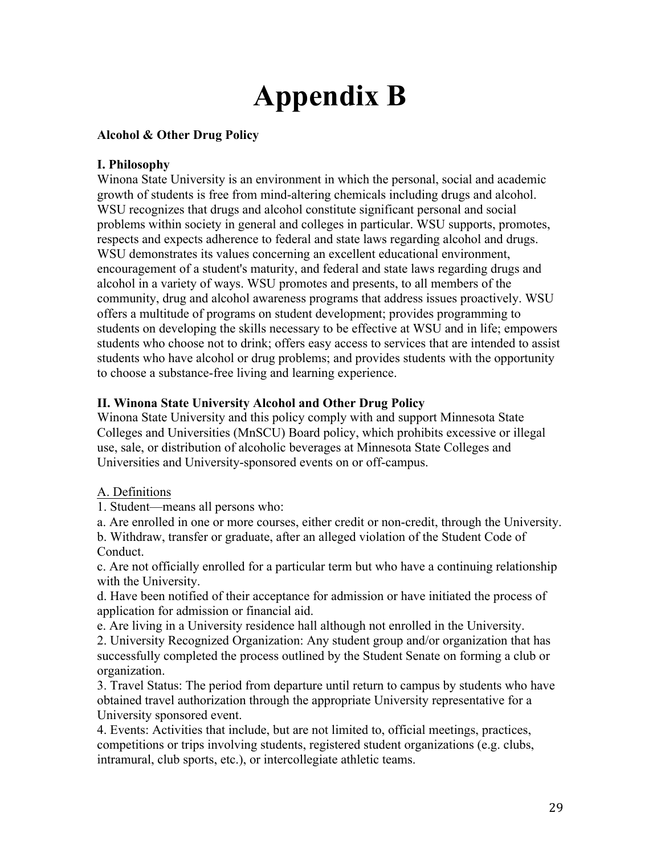# **Appendix B**

# **Alcohol & Other Drug Policy**

# **I. Philosophy**

Winona State University is an environment in which the personal, social and academic growth of students is free from mind-altering chemicals including drugs and alcohol. WSU recognizes that drugs and alcohol constitute significant personal and social problems within society in general and colleges in particular. WSU supports, promotes, respects and expects adherence to federal and state laws regarding alcohol and drugs. WSU demonstrates its values concerning an excellent educational environment, encouragement of a student's maturity, and federal and state laws regarding drugs and alcohol in a variety of ways. WSU promotes and presents, to all members of the community, drug and alcohol awareness programs that address issues proactively. WSU offers a multitude of programs on student development; provides programming to students on developing the skills necessary to be effective at WSU and in life; empowers students who choose not to drink; offers easy access to services that are intended to assist students who have alcohol or drug problems; and provides students with the opportunity to choose a substance-free living and learning experience.

# **II. Winona State University Alcohol and Other Drug Policy**

Winona State University and this policy comply with and support Minnesota State Colleges and Universities (MnSCU) Board policy, which prohibits excessive or illegal use, sale, or distribution of alcoholic beverages at Minnesota State Colleges and Universities and University-sponsored events on or off-campus.

# A. Definitions

1. Student—means all persons who:

a. Are enrolled in one or more courses, either credit or non-credit, through the University. b. Withdraw, transfer or graduate, after an alleged violation of the Student Code of Conduct.

c. Are not officially enrolled for a particular term but who have a continuing relationship with the University.

d. Have been notified of their acceptance for admission or have initiated the process of application for admission or financial aid.

e. Are living in a University residence hall although not enrolled in the University.

2. University Recognized Organization: Any student group and/or organization that has successfully completed the process outlined by the Student Senate on forming a club or organization.

3. Travel Status: The period from departure until return to campus by students who have obtained travel authorization through the appropriate University representative for a University sponsored event.

4. Events: Activities that include, but are not limited to, official meetings, practices, competitions or trips involving students, registered student organizations (e.g. clubs, intramural, club sports, etc.), or intercollegiate athletic teams.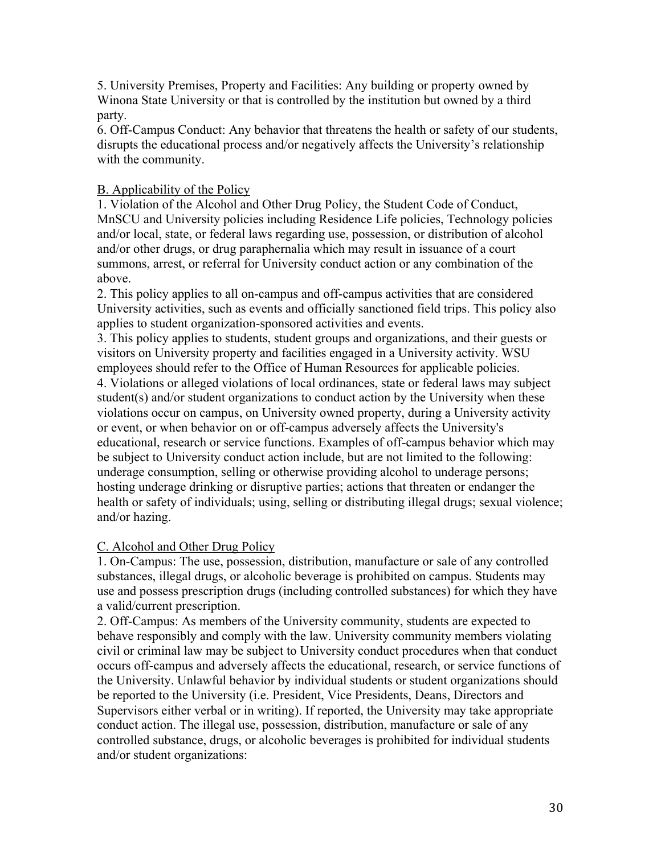5. University Premises, Property and Facilities: Any building or property owned by Winona State University or that is controlled by the institution but owned by a third party.

6. Off-Campus Conduct: Any behavior that threatens the health or safety of our students, disrupts the educational process and/or negatively affects the University's relationship with the community.

# B. Applicability of the Policy

1. Violation of the Alcohol and Other Drug Policy, the Student Code of Conduct, MnSCU and University policies including Residence Life policies, Technology policies and/or local, state, or federal laws regarding use, possession, or distribution of alcohol and/or other drugs, or drug paraphernalia which may result in issuance of a court summons, arrest, or referral for University conduct action or any combination of the above.

2. This policy applies to all on-campus and off-campus activities that are considered University activities, such as events and officially sanctioned field trips. This policy also applies to student organization-sponsored activities and events.

3. This policy applies to students, student groups and organizations, and their guests or visitors on University property and facilities engaged in a University activity. WSU employees should refer to the Office of Human Resources for applicable policies. 4. Violations or alleged violations of local ordinances, state or federal laws may subject student(s) and/or student organizations to conduct action by the University when these violations occur on campus, on University owned property, during a University activity or event, or when behavior on or off-campus adversely affects the University's educational, research or service functions. Examples of off-campus behavior which may be subject to University conduct action include, but are not limited to the following: underage consumption, selling or otherwise providing alcohol to underage persons; hosting underage drinking or disruptive parties; actions that threaten or endanger the health or safety of individuals; using, selling or distributing illegal drugs; sexual violence; and/or hazing.

#### C. Alcohol and Other Drug Policy

1. On-Campus: The use, possession, distribution, manufacture or sale of any controlled substances, illegal drugs, or alcoholic beverage is prohibited on campus. Students may use and possess prescription drugs (including controlled substances) for which they have a valid/current prescription.

2. Off-Campus: As members of the University community, students are expected to behave responsibly and comply with the law. University community members violating civil or criminal law may be subject to University conduct procedures when that conduct occurs off-campus and adversely affects the educational, research, or service functions of the University. Unlawful behavior by individual students or student organizations should be reported to the University (i.e. President, Vice Presidents, Deans, Directors and Supervisors either verbal or in writing). If reported, the University may take appropriate conduct action. The illegal use, possession, distribution, manufacture or sale of any controlled substance, drugs, or alcoholic beverages is prohibited for individual students and/or student organizations: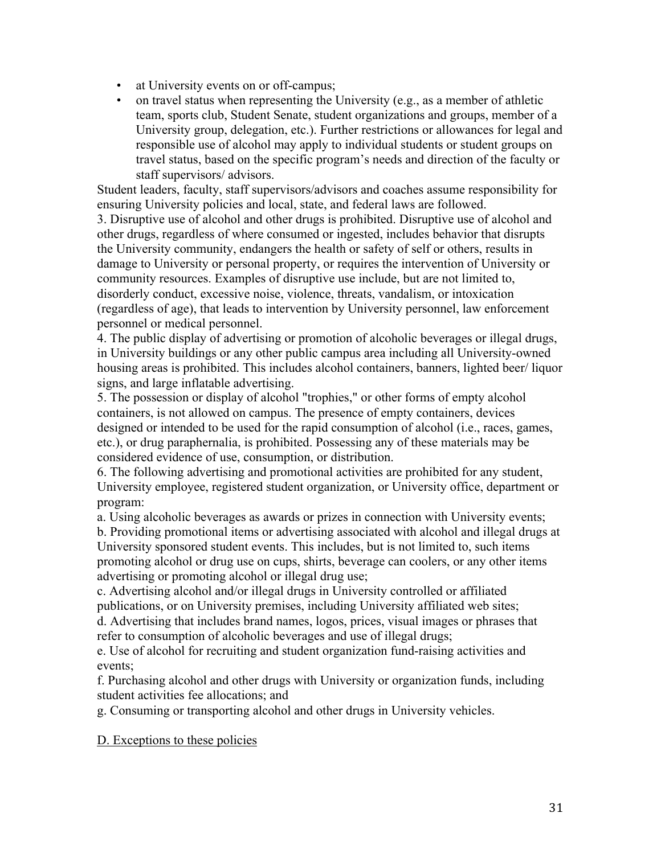- at University events on or off-campus;
- on travel status when representing the University (e.g., as a member of athletic team, sports club, Student Senate, student organizations and groups, member of a University group, delegation, etc.). Further restrictions or allowances for legal and responsible use of alcohol may apply to individual students or student groups on travel status, based on the specific program's needs and direction of the faculty or staff supervisors/ advisors.

Student leaders, faculty, staff supervisors/advisors and coaches assume responsibility for ensuring University policies and local, state, and federal laws are followed.

3. Disruptive use of alcohol and other drugs is prohibited. Disruptive use of alcohol and other drugs, regardless of where consumed or ingested, includes behavior that disrupts the University community, endangers the health or safety of self or others, results in damage to University or personal property, or requires the intervention of University or community resources. Examples of disruptive use include, but are not limited to, disorderly conduct, excessive noise, violence, threats, vandalism, or intoxication (regardless of age), that leads to intervention by University personnel, law enforcement personnel or medical personnel.

4. The public display of advertising or promotion of alcoholic beverages or illegal drugs, in University buildings or any other public campus area including all University-owned housing areas is prohibited. This includes alcohol containers, banners, lighted beer/ liquor signs, and large inflatable advertising.

5. The possession or display of alcohol "trophies," or other forms of empty alcohol containers, is not allowed on campus. The presence of empty containers, devices designed or intended to be used for the rapid consumption of alcohol (i.e., races, games, etc.), or drug paraphernalia, is prohibited. Possessing any of these materials may be considered evidence of use, consumption, or distribution.

6. The following advertising and promotional activities are prohibited for any student, University employee, registered student organization, or University office, department or program:

a. Using alcoholic beverages as awards or prizes in connection with University events;

b. Providing promotional items or advertising associated with alcohol and illegal drugs at University sponsored student events. This includes, but is not limited to, such items promoting alcohol or drug use on cups, shirts, beverage can coolers, or any other items advertising or promoting alcohol or illegal drug use;

c. Advertising alcohol and/or illegal drugs in University controlled or affiliated publications, or on University premises, including University affiliated web sites; d. Advertising that includes brand names, logos, prices, visual images or phrases that refer to consumption of alcoholic beverages and use of illegal drugs;

e. Use of alcohol for recruiting and student organization fund-raising activities and events;

f. Purchasing alcohol and other drugs with University or organization funds, including student activities fee allocations; and

g. Consuming or transporting alcohol and other drugs in University vehicles.

#### D. Exceptions to these policies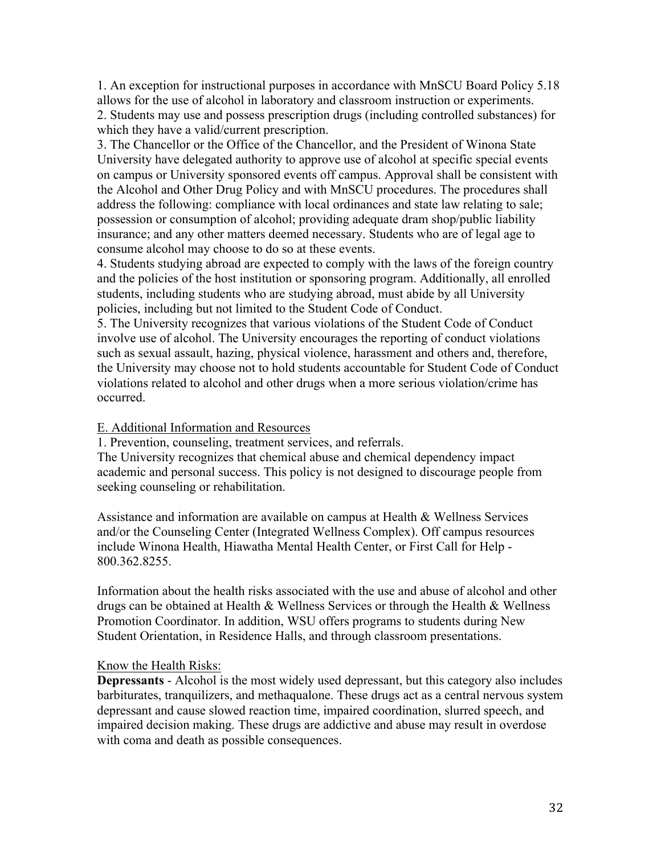1. An exception for instructional purposes in accordance with MnSCU Board Policy 5.18 allows for the use of alcohol in laboratory and classroom instruction or experiments. 2. Students may use and possess prescription drugs (including controlled substances) for which they have a valid/current prescription.

3. The Chancellor or the Office of the Chancellor, and the President of Winona State University have delegated authority to approve use of alcohol at specific special events on campus or University sponsored events off campus. Approval shall be consistent with the Alcohol and Other Drug Policy and with MnSCU procedures. The procedures shall address the following: compliance with local ordinances and state law relating to sale; possession or consumption of alcohol; providing adequate dram shop/public liability insurance; and any other matters deemed necessary. Students who are of legal age to consume alcohol may choose to do so at these events.

4. Students studying abroad are expected to comply with the laws of the foreign country and the policies of the host institution or sponsoring program. Additionally, all enrolled students, including students who are studying abroad, must abide by all University policies, including but not limited to the Student Code of Conduct.

5. The University recognizes that various violations of the Student Code of Conduct involve use of alcohol. The University encourages the reporting of conduct violations such as sexual assault, hazing, physical violence, harassment and others and, therefore, the University may choose not to hold students accountable for Student Code of Conduct violations related to alcohol and other drugs when a more serious violation/crime has occurred.

#### E. Additional Information and Resources

1. Prevention, counseling, treatment services, and referrals.

The University recognizes that chemical abuse and chemical dependency impact academic and personal success. This policy is not designed to discourage people from seeking counseling or rehabilitation.

Assistance and information are available on campus at Health & Wellness Services and/or the Counseling Center (Integrated Wellness Complex). Off campus resources include Winona Health, Hiawatha Mental Health Center, or First Call for Help - 800.362.8255.

Information about the health risks associated with the use and abuse of alcohol and other drugs can be obtained at Health  $\&$  Wellness Services or through the Health  $\&$  Wellness Promotion Coordinator. In addition, WSU offers programs to students during New Student Orientation, in Residence Halls, and through classroom presentations.

#### Know the Health Risks:

**Depressants** - Alcohol is the most widely used depressant, but this category also includes barbiturates, tranquilizers, and methaqualone. These drugs act as a central nervous system depressant and cause slowed reaction time, impaired coordination, slurred speech, and impaired decision making. These drugs are addictive and abuse may result in overdose with coma and death as possible consequences.